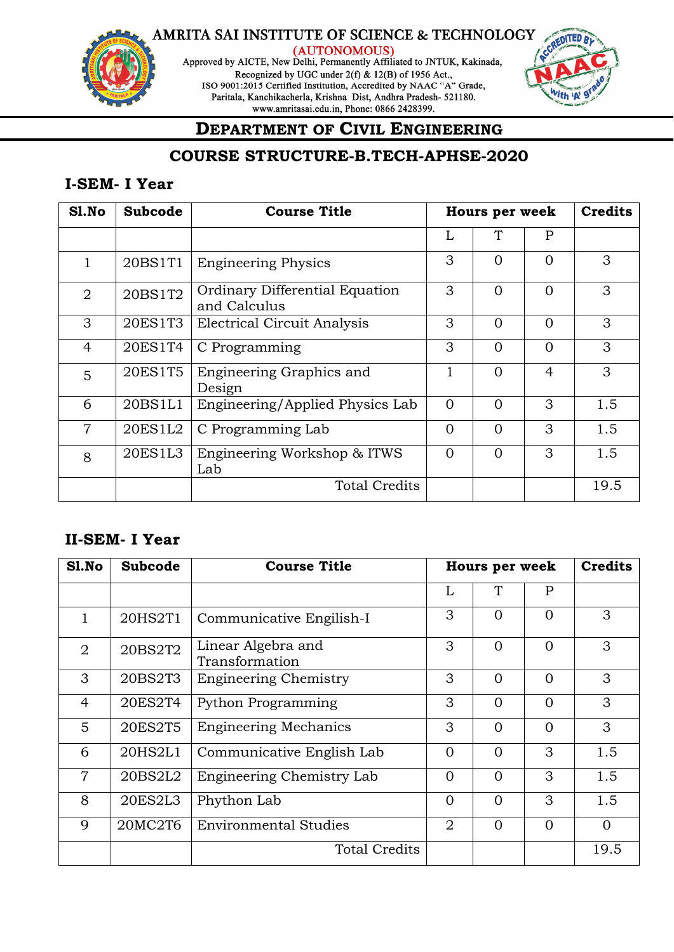

(AUTONOMOUS)<br>Approved by AICTE, New Delhi, Permanently Affiliated to JNTUK, Kakinada, Recognized by UGC under 2(f) & 12(B) of 1956 Act., ISO 9001:2015 Certified Institution, Accredited by NAAC "A" Grade, Paritala, Kanchikacherla, Krishna Dist, Andhra Pradesh- 521180. www.amritasai.edu.in, Phone: 0866 2428399.



## **DEPARTMENT OF CIVIL ENGINEERING**

## **COURSE STRUCTURE-B.TECH-APHSE-2020**

### **I-SEM- I Year**

| Sl.No          | <b>Subcode</b> | <b>Course Title</b>                            |          | <b>Hours per week</b> |          | <b>Credits</b> |
|----------------|----------------|------------------------------------------------|----------|-----------------------|----------|----------------|
|                |                |                                                | L        | T                     | P        |                |
|                | 20BS1T1        | <b>Engineering Physics</b>                     | 3        | $\Omega$              | $\Omega$ | 3              |
| $\overline{2}$ | 20BS1T2        | Ordinary Differential Equation<br>and Calculus | 3        | $\Omega$              | $\Omega$ | 3              |
| 3              | 20ES1T3        | <b>Electrical Circuit Analysis</b>             | 3        | $\Omega$              | $\Omega$ | 3              |
| $\overline{4}$ | 20ES1T4        | C Programming                                  | 3        | $\Omega$              | $\Omega$ | 3              |
| 5              | 20ES1T5        | Engineering Graphics and<br>Design             | 1        | $\Omega$              | 4        | 3              |
| 6              | 20BS1L1        | Engineering/Applied Physics Lab                | $\Omega$ | $\Omega$              | 3        | 1.5            |
| $\overline{7}$ | 20ES1L2        | C Programming Lab                              | $\Omega$ | $\Omega$              | 3        | 1.5            |
| 8              | 20ES1L3        | Engineering Workshop & ITWS<br>Lab             | $\Omega$ | $\Omega$              | 3        | 1.5            |
|                |                | <b>Total Credits</b>                           |          |                       |          | 19.5           |

### **II-SEM- I Year**

| Sl.No          | <b>Subcode</b> | <b>Course Title</b>                  | Hours per week |          |          | <b>Credits</b> |
|----------------|----------------|--------------------------------------|----------------|----------|----------|----------------|
|                |                |                                      | L              | T        | P        |                |
| $\mathbf{1}$   | 20HS2T1        | Communicative Engilish-I             | 3              | $\Omega$ | $\Omega$ | 3              |
| 2              | 20BS2T2        | Linear Algebra and<br>Transformation | 3              | $\Omega$ | $\Omega$ | 3              |
| 3              | 20BS2T3        | <b>Engineering Chemistry</b>         | 3              | $\Omega$ | $\Omega$ | 3              |
| $\overline{4}$ | 20ES2T4        | Python Programming                   | 3              | $\Omega$ | $\Omega$ | 3              |
| 5              | 20ES2T5        | <b>Engineering Mechanics</b>         | 3              | $\Omega$ | $\Omega$ | 3              |
| 6              | 20HS2L1        | Communicative English Lab            | $\Omega$       | $\Omega$ | 3        | 1.5            |
| $\overline{7}$ | 20BS2L2        | Engineering Chemistry Lab            | $\Omega$       | $\Omega$ | 3        | 1.5            |
| 8              | 20ES2L3        | Phython Lab                          | $\Omega$       | $\Omega$ | 3        | 1.5            |
| 9              | 20MC2T6        | <b>Environmental Studies</b>         | 2              | $\Omega$ | $\Omega$ | $\Omega$       |
|                |                | <b>Total Credits</b>                 |                |          |          | 19.5           |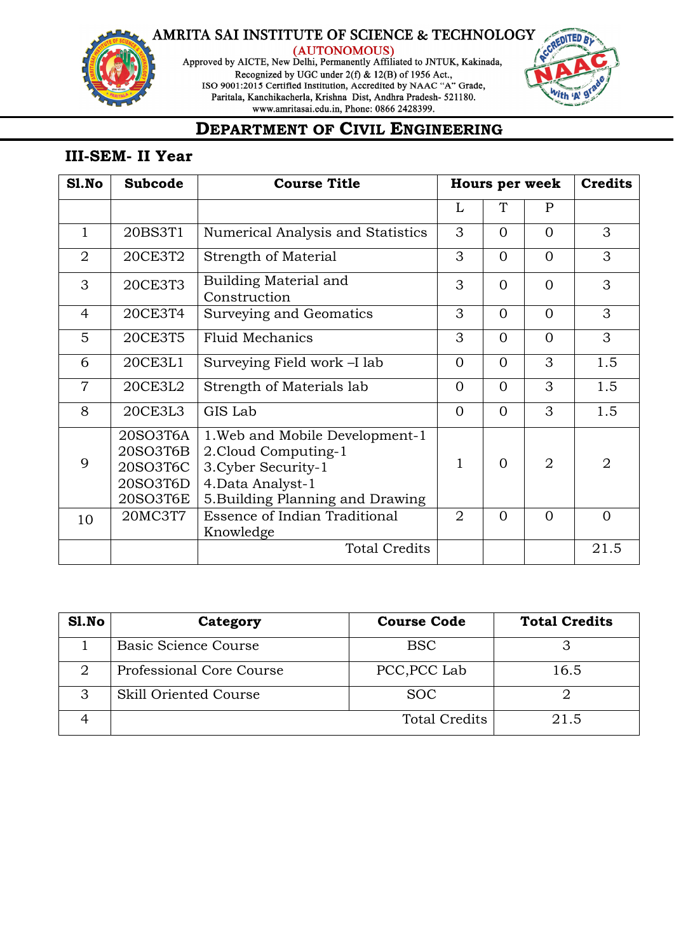

(AUTONOMOUS)<br>Approved by AICTE, New Delhi, Permanently Affiliated to JNTUK, Kakinada, Recognized by UGC under 2(f) & 12(B) of 1956 Act., ISO 9001:2015 Certified Institution, Accredited by NAAC "A" Grade,<br>Paritala, Kanchikacherla, Krishna Dist, Andhra Pradesh-521180. www.amritasai.edu.in, Phone: 0866 2428399.



## **DEPARTMENT OF CIVIL ENGINEERING**

### **III-SEM- II Year**

| S1.No          | <b>Subcode</b>                                           | <b>Course Title</b>                                                                                                                     | <b>Hours per week</b> |          | <b>Credits</b> |                |
|----------------|----------------------------------------------------------|-----------------------------------------------------------------------------------------------------------------------------------------|-----------------------|----------|----------------|----------------|
|                |                                                          |                                                                                                                                         | L                     | T        | $\mathbf{P}$   |                |
| $\mathbf{1}$   | 20BS3T1                                                  | Numerical Analysis and Statistics                                                                                                       | 3                     | $\Omega$ | $\Omega$       | 3              |
| $\overline{2}$ | 20CE3T2                                                  | Strength of Material                                                                                                                    | 3                     | $\Omega$ | $\Omega$       | 3              |
| 3              | 20CE3T3                                                  | Building Material and<br>Construction                                                                                                   | 3                     | $\Omega$ | $\Omega$       | 3              |
| $\overline{4}$ | 20CE3T4                                                  | Surveying and Geomatics                                                                                                                 | 3                     | $\Omega$ | $\Omega$       | 3              |
| 5              | 20CE3T5                                                  | <b>Fluid Mechanics</b>                                                                                                                  | 3                     | $\Omega$ | $\Omega$       | 3              |
| 6              | 20CE3L1                                                  | Surveying Field work -I lab                                                                                                             | $\Omega$              | $\Omega$ | 3              | 1.5            |
| $\overline{7}$ | 20CE3L2                                                  | Strength of Materials lab                                                                                                               | $\Omega$              | $\Omega$ | 3              | 1.5            |
| 8              | 20CE3L3                                                  | GIS Lab                                                                                                                                 | $\Omega$              | $\Omega$ | 3              | 1.5            |
| 9              | 20SO3T6A<br>20SO3T6B<br>20SO3T6C<br>20SO3T6D<br>20SO3T6E | 1. Web and Mobile Development-1<br>2. Cloud Computing-1<br>3. Cyber Security-1<br>4. Data Analyst-1<br>5. Building Planning and Drawing | $\mathbf{1}$          | $\Omega$ | 2              | $\overline{2}$ |
| 10             | 20MC3T7                                                  | <b>Essence of Indian Traditional</b><br>Knowledge                                                                                       | $\overline{2}$        | $\Omega$ | $\Omega$       | $\Omega$       |
|                |                                                          | <b>Total Credits</b>                                                                                                                    |                       |          |                | 21.5           |

| Sl.No | Category                 | <b>Course Code</b>   | <b>Total Credits</b> |
|-------|--------------------------|----------------------|----------------------|
|       | Basic Science Course     | <b>BSC</b>           |                      |
|       | Professional Core Course | PCC, PCC Lab         | 16.5                 |
|       | Skill Oriented Course    | <b>SOC</b>           |                      |
|       |                          | <b>Total Credits</b> | 21.5                 |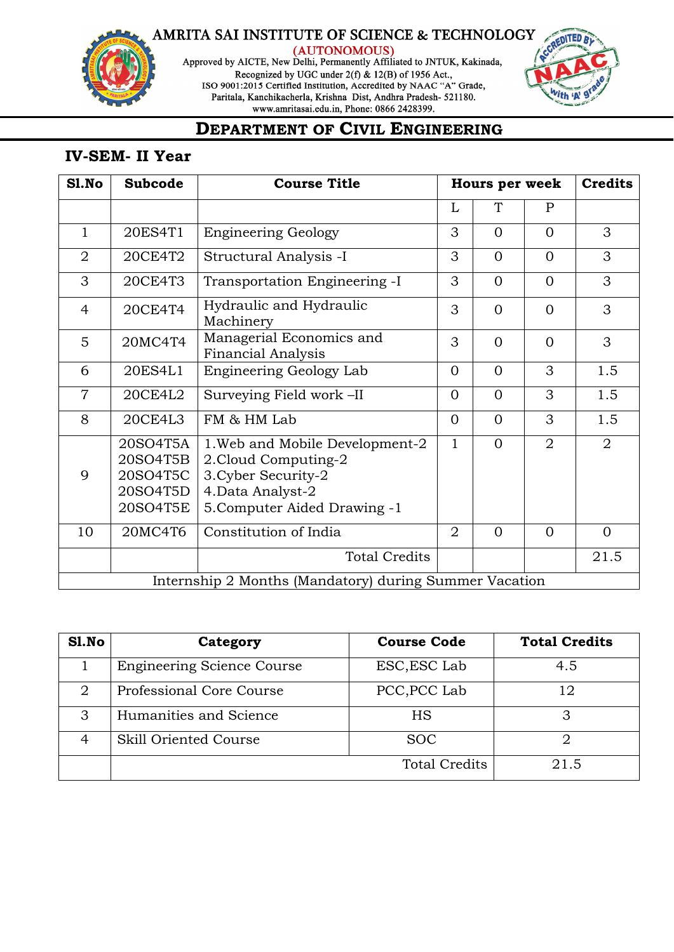

(AUTONOMOUS)<br>Approved by AICTE, New Delhi, Permanently Affiliated to JNTUK, Kakinada, Recognized by UGC under 2(f) & 12(B) of 1956 Act., ISO 9001:2015 Certified Institution, Accredited by NAAC "A" Grade,<br>Paritala, Kanchikacherla, Krishna Dist, Andhra Pradesh-521180. www.amritasai.edu.in, Phone: 0866 2428399.



## **DEPARTMENT OF CIVIL ENGINEERING**

### **IV-SEM- II Year**

| S1.No          | <b>Subcode</b>                                           | <b>Course Title</b>                                                                                                                 |                | <b>Hours per week</b> |              | <b>Credits</b> |  |  |
|----------------|----------------------------------------------------------|-------------------------------------------------------------------------------------------------------------------------------------|----------------|-----------------------|--------------|----------------|--|--|
|                |                                                          |                                                                                                                                     | L              | T                     | $\mathbf{P}$ |                |  |  |
| $\mathbf{1}$   | 20ES4T1                                                  | <b>Engineering Geology</b>                                                                                                          | 3              | $\Omega$              | $\Omega$     | 3              |  |  |
| $\overline{2}$ | 20CE4T2                                                  | Structural Analysis -I                                                                                                              | 3              | $\Omega$              | $\Omega$     | 3              |  |  |
| 3              | 20CE4T3                                                  | Transportation Engineering -I                                                                                                       | 3              | $\overline{0}$        | $\Omega$     | 3              |  |  |
| $\overline{4}$ | 20CE4T4                                                  | Hydraulic and Hydraulic<br>Machinery                                                                                                | 3              | $\Omega$              | $\Omega$     | 3              |  |  |
| 5              | 20MC4T4                                                  | Managerial Economics and<br><b>Financial Analysis</b>                                                                               | 3              | $\Omega$              | $\Omega$     | 3              |  |  |
| 6              | 20ES4L1                                                  | Engineering Geology Lab                                                                                                             | $\Omega$       | $\Omega$              | 3            | 1.5            |  |  |
| $\overline{7}$ | 20CE4L2                                                  | Surveying Field work -II                                                                                                            | $\Omega$       | $\Omega$              | 3            | 1.5            |  |  |
| 8              | 20CE4L3                                                  | FM & HM Lab                                                                                                                         | $\Omega$       | $\Omega$              | 3            | 1.5            |  |  |
| 9              | 20SO4T5A<br>20SO4T5B<br>20SO4T5C<br>20SO4T5D<br>20SO4T5E | 1. Web and Mobile Development-2<br>2. Cloud Computing-2<br>3. Cyber Security-2<br>4. Data Analyst-2<br>5. Computer Aided Drawing -1 | $\mathbf{1}$   | $\Omega$              | 2            | 2              |  |  |
| 10             | 20MC4T6                                                  | Constitution of India                                                                                                               | $\overline{2}$ | $\Omega$              | $\Omega$     | $\Omega$       |  |  |
|                |                                                          | <b>Total Credits</b>                                                                                                                |                |                       |              | 21.5           |  |  |
|                | Internship 2 Months (Mandatory) during Summer Vacation   |                                                                                                                                     |                |                       |              |                |  |  |

| S1.No          | Category                          | <b>Course Code</b>   | <b>Total Credits</b> |
|----------------|-----------------------------------|----------------------|----------------------|
|                | <b>Engineering Science Course</b> | ESC, ESC Lab         | 4.5                  |
| $\overline{2}$ | Professional Core Course          | PCC, PCC Lab         | 12                   |
| 3              | Humanities and Science            | HS                   |                      |
|                | Skill Oriented Course             | <b>SOC</b>           | ≘                    |
|                |                                   | <b>Total Credits</b> | 21.5                 |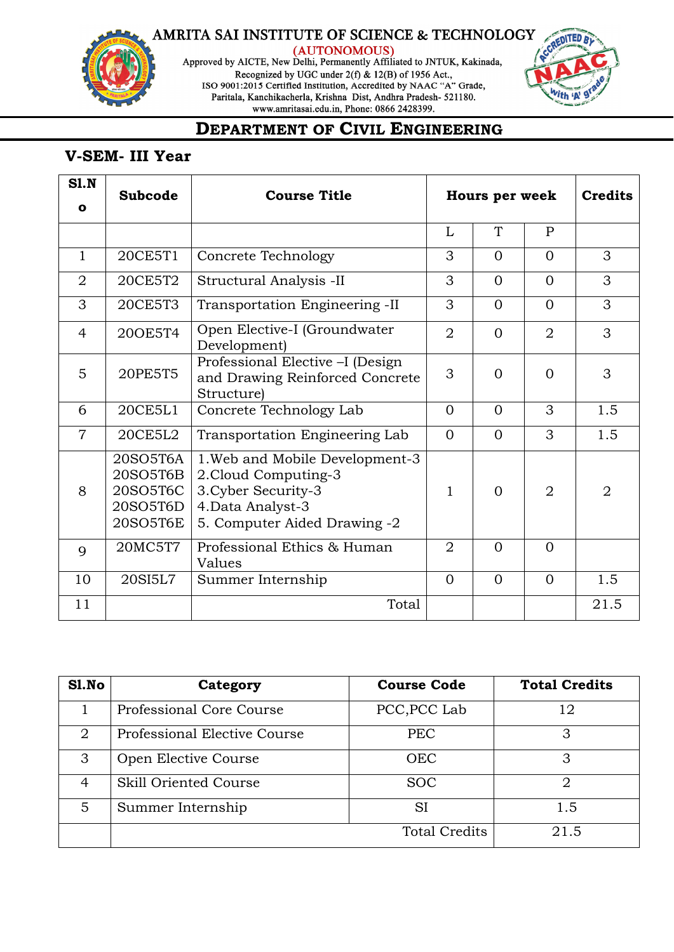

(AUTONOMOUS)<br>Approved by AICTE, New Delhi, Permanently Affiliated to JNTUK, Kakinada, Recognized by UGC under 2(f) & 12(B) of 1956 Act., ISO 9001:2015 Certified Institution, Accredited by NAAC "A" Grade,<br>Paritala, Kanchikacherla, Krishna Dist, Andhra Pradesh-521180. www.amritasai.edu.in, Phone: 0866 2428399.



## **DEPARTMENT OF CIVIL ENGINEERING**

### **V-SEM- III Year**

| SI.N           | <b>Subcode</b>                                           | <b>Course Title</b>                                                                                                                 | Hours per week |              |                | <b>Credits</b> |
|----------------|----------------------------------------------------------|-------------------------------------------------------------------------------------------------------------------------------------|----------------|--------------|----------------|----------------|
| $\mathbf{o}$   |                                                          |                                                                                                                                     |                |              |                |                |
|                |                                                          |                                                                                                                                     | L              | $\mathsf{T}$ | $\mathbf{P}$   |                |
| $\mathbf{1}$   | 20CE5T1                                                  | Concrete Technology                                                                                                                 | 3              | $\Omega$     | $\Omega$       | 3              |
| $\overline{2}$ | 20CE5T2                                                  | Structural Analysis -II                                                                                                             | 3              | $\Omega$     | $\Omega$       | 3              |
| 3              | 20CE5T3                                                  | Transportation Engineering -II                                                                                                      | 3              | $\Omega$     | $\Omega$       | 3              |
| 4              | 200E5T4                                                  | Open Elective-I (Groundwater<br>Development)                                                                                        | $\overline{2}$ | $\Omega$     | $\overline{2}$ | 3              |
| 5              | 20PE5T5                                                  | Professional Elective -I (Design<br>and Drawing Reinforced Concrete<br><b>Structure</b> )                                           | 3              | $\Omega$     | $\Omega$       | 3              |
| 6              | 20CE5L1                                                  | Concrete Technology Lab                                                                                                             | $\Omega$       | $\Omega$     | 3              | 1.5            |
| $\overline{7}$ | 20CE5L2                                                  | Transportation Engineering Lab                                                                                                      | $\Omega$       | $\Omega$     | 3              | 1.5            |
| 8              | 20SO5T6A<br>20SO5T6B<br>20SO5T6C<br>20SO5T6D<br>20SO5T6E | 1. Web and Mobile Development-3<br>2. Cloud Computing-3<br>3. Cyber Security-3<br>4. Data Analyst-3<br>5. Computer Aided Drawing -2 | 1              | $\Omega$     | $\overline{2}$ | $\overline{2}$ |
| 9              | 20MC5T7                                                  | Professional Ethics & Human<br>Values                                                                                               | $\overline{2}$ | $\Omega$     | $\Omega$       |                |
| 10             | 20SI5L7                                                  | Summer Internship                                                                                                                   | $\Omega$       | $\Omega$     | $\Omega$       | 1.5            |
| 11             |                                                          | Total                                                                                                                               |                |              |                | 21.5           |

| Sl.No | Category                     | <b>Course Code</b>   | <b>Total Credits</b> |
|-------|------------------------------|----------------------|----------------------|
|       | Professional Core Course     | PCC, PCC Lab         | 12                   |
| 2     | Professional Elective Course | <b>PEC</b>           | З                    |
| 3     | Open Elective Course         | <b>OEC</b>           | З                    |
| 4     | Skill Oriented Course        | <b>SOC</b>           | റ                    |
| 5     | Summer Internship            | SI                   | 1.5                  |
|       |                              | <b>Total Credits</b> | 21.5                 |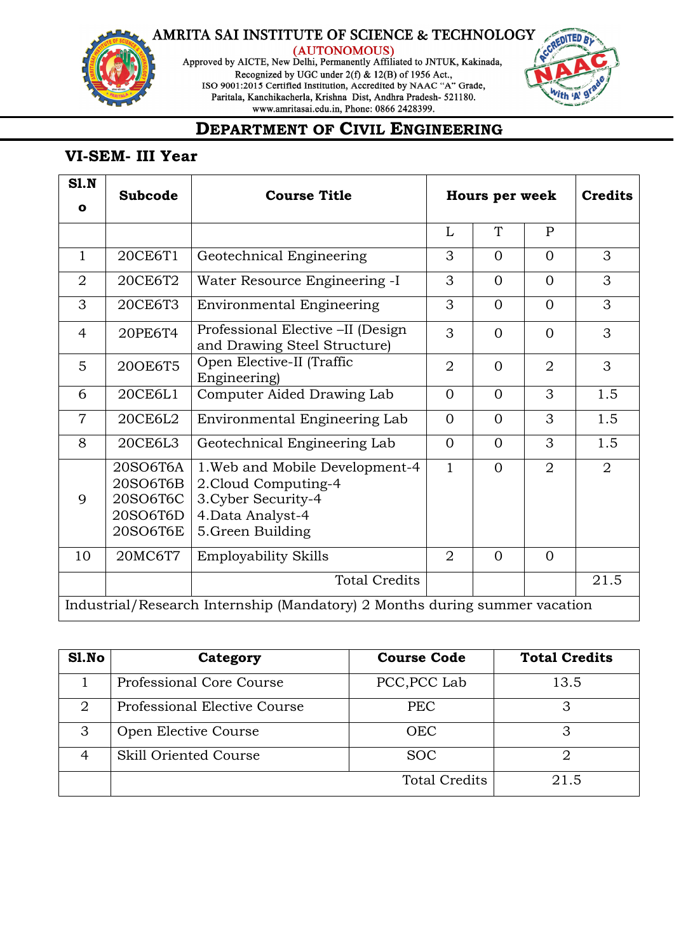

(AUTONOMOUS)<br>Approved by AICTE, New Delhi, Permanently Affiliated to JNTUK, Kakinada, Recognized by UGC under 2(f) & 12(B) of 1956 Act., ISO 9001:2015 Certified Institution, Accredited by NAAC "A" Grade,<br>Paritala, Kanchikacherla, Krishna Dist, Andhra Pradesh-521180. www.amritasai.edu.in, Phone: 0866 2428399.



## **DEPARTMENT OF CIVIL ENGINEERING**

### **VI-SEM- III Year**

| SI.N           | <b>Subcode</b>                                           | <b>Course Title</b>                                                                                                      | Hours per week |                |                | <b>Credits</b> |
|----------------|----------------------------------------------------------|--------------------------------------------------------------------------------------------------------------------------|----------------|----------------|----------------|----------------|
| $\mathbf{o}$   |                                                          |                                                                                                                          |                |                |                |                |
|                |                                                          |                                                                                                                          | L              | T              | $\mathsf{P}$   |                |
| $\mathbf{1}$   | 20CE6T1                                                  | Geotechnical Engineering                                                                                                 | 3              | $\Omega$       | $\Omega$       | 3              |
| $\overline{2}$ | 20CE6T2                                                  | Water Resource Engineering -I                                                                                            | 3              | $\overline{0}$ | $\Omega$       | 3              |
| 3              | 20CE6T3                                                  | <b>Environmental Engineering</b>                                                                                         | 3              | $\overline{0}$ | $\overline{0}$ | 3              |
| $\overline{4}$ | 20PE6T4                                                  | Professional Elective -II (Design<br>and Drawing Steel Structure)                                                        | 3              | $\Omega$       | $\Omega$       | 3              |
| 5              | 20OE6T5                                                  | Open Elective-II (Traffic<br>Engineering)                                                                                | $\overline{2}$ | $\Omega$       | $\overline{2}$ | 3              |
| 6              | 20CE6L1                                                  | Computer Aided Drawing Lab                                                                                               | $\Omega$       | $\Omega$       | 3              | 1.5            |
| $\overline{7}$ | 20CE6L2                                                  | Environmental Engineering Lab                                                                                            | $\overline{0}$ | $\Omega$       | 3              | 1.5            |
| 8              | 20CE6L3                                                  | Geotechnical Engineering Lab                                                                                             | $\Omega$       | $\Omega$       | 3              | 1.5            |
| 9              | 20SO6T6A<br>20SO6T6B<br>20SO6T6C<br>20SO6T6D<br>20SO6T6E | 1. Web and Mobile Development-4<br>2. Cloud Computing-4<br>3. Cyber Security-4<br>4. Data Analyst-4<br>5. Green Building | $\mathbf{1}$   | $\Omega$       | 2              | 2              |
| 10             | 20MC6T7                                                  | <b>Employability Skills</b>                                                                                              | $\overline{2}$ | $\Omega$       | $\overline{0}$ |                |
|                |                                                          | <b>Total Credits</b>                                                                                                     |                |                |                | 21.5           |
|                |                                                          | Industrial/Research Internship (Mandatory) 2 Months during summer vacation                                               |                |                |                |                |

| Sl.No | Category                     | <b>Course Code</b>   | <b>Total Credits</b> |
|-------|------------------------------|----------------------|----------------------|
|       | Professional Core Course     | PCC, PCC Lab         | 13.5                 |
| 2     | Professional Elective Course | <b>PEC</b>           |                      |
| 3     | Open Elective Course         | <b>OEC</b>           |                      |
|       | Skill Oriented Course        | <b>SOC</b>           |                      |
|       |                              | <b>Total Credits</b> | 21.5                 |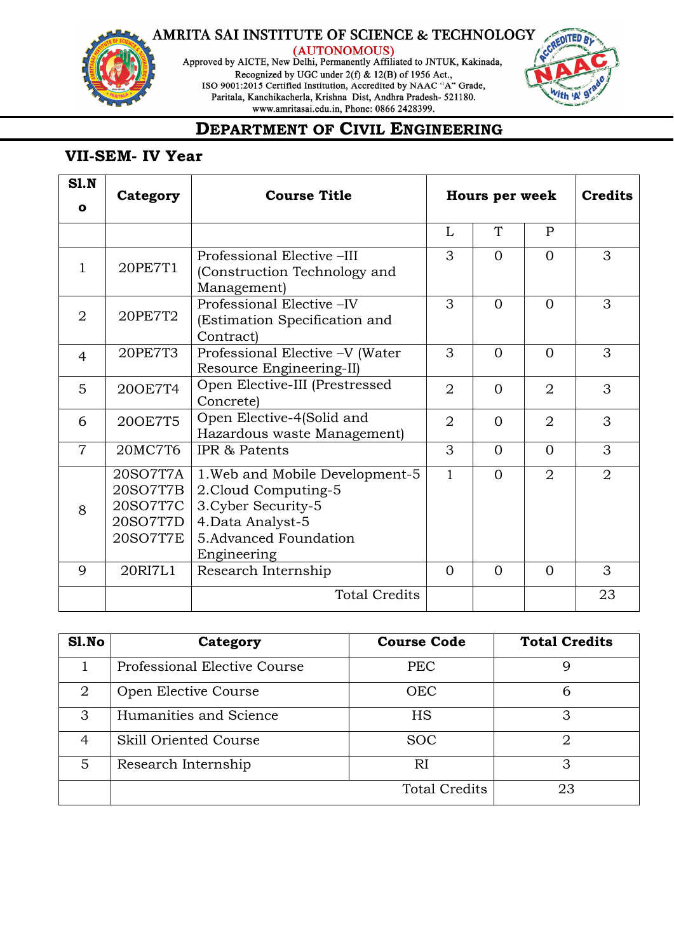

(AUTONOMOUS)<br>Approved by AICTE, New Delhi, Permanently Affiliated to JNTUK, Kakinada, Recognized by UGC under 2(f) & 12(B) of 1956 Act., ISO 9001:2015 Certified Institution, Accredited by NAAC "A" Grade,<br>Paritala, Kanchikacherla, Krishna Dist, Andhra Pradesh-521180. www.amritasai.edu.in, Phone: 0866 2428399.



## **DEPARTMENT OF CIVIL ENGINEERING**

### **VII-SEM- IV Year**

| SI.N           | Category                                                 | <b>Course Title</b>                                                                                                                         | Hours per week |          |                | <b>Credits</b> |
|----------------|----------------------------------------------------------|---------------------------------------------------------------------------------------------------------------------------------------------|----------------|----------|----------------|----------------|
| $\mathbf{o}$   |                                                          |                                                                                                                                             |                |          |                |                |
|                |                                                          |                                                                                                                                             | L              | T        | P              |                |
| $\mathbf{1}$   | 20PE7T1                                                  | Professional Elective -III<br>(Construction Technology and<br>Management)                                                                   | 3              | $\Omega$ | $\Omega$       | 3              |
| $\overline{2}$ | 20PE7T2                                                  | Professional Elective - IV<br>(Estimation Specification and<br>Contract)                                                                    | 3              | $\Omega$ | $\Omega$       | 3              |
| $\overline{4}$ | 20PE7T3                                                  | Professional Elective -V (Water<br>Resource Engineering-II)                                                                                 | 3              | $\Omega$ | $\Omega$       | 3              |
| 5              | 200E7T4                                                  | Open Elective-III (Prestressed<br>Concrete)                                                                                                 | $\overline{2}$ | $\Omega$ | $\overline{2}$ | 3              |
| 6              | 200E7T5                                                  | Open Elective-4(Solid and<br>Hazardous waste Management)                                                                                    | $\overline{2}$ | $\Omega$ | $\overline{2}$ | 3              |
| $\overline{7}$ | 20MC7T6                                                  | IPR & Patents                                                                                                                               | 3              | $\Omega$ | $\Omega$       | 3              |
| 8              | 20SO7T7A<br>20SO7T7B<br>20SO7T7C<br>20SO7T7D<br>20SO7T7E | 1. Web and Mobile Development-5<br>2. Cloud Computing-5<br>3. Cyber Security-5<br>4. Data Analyst-5<br>5.Advanced Foundation<br>Engineering | $\mathbf{1}$   | $\Omega$ | $\overline{2}$ | $\overline{2}$ |
| 9              | 20RI7L1                                                  | Research Internship                                                                                                                         | $\Omega$       | $\Omega$ | $\Omega$       | 3              |
|                |                                                          | <b>Total Credits</b>                                                                                                                        |                |          |                | 23             |

| Sl.No | Category                     | <b>Course Code</b>   | <b>Total Credits</b> |
|-------|------------------------------|----------------------|----------------------|
|       | Professional Elective Course | <b>PEC</b>           |                      |
| 2     | Open Elective Course         | <b>OEC</b>           | ი                    |
| 3     | Humanities and Science       | HS                   | З                    |
| 4     | Skill Oriented Course        | <b>SOC</b>           | റ                    |
| 5     | Research Internship          | RI                   | З                    |
|       |                              | <b>Total Credits</b> | 23                   |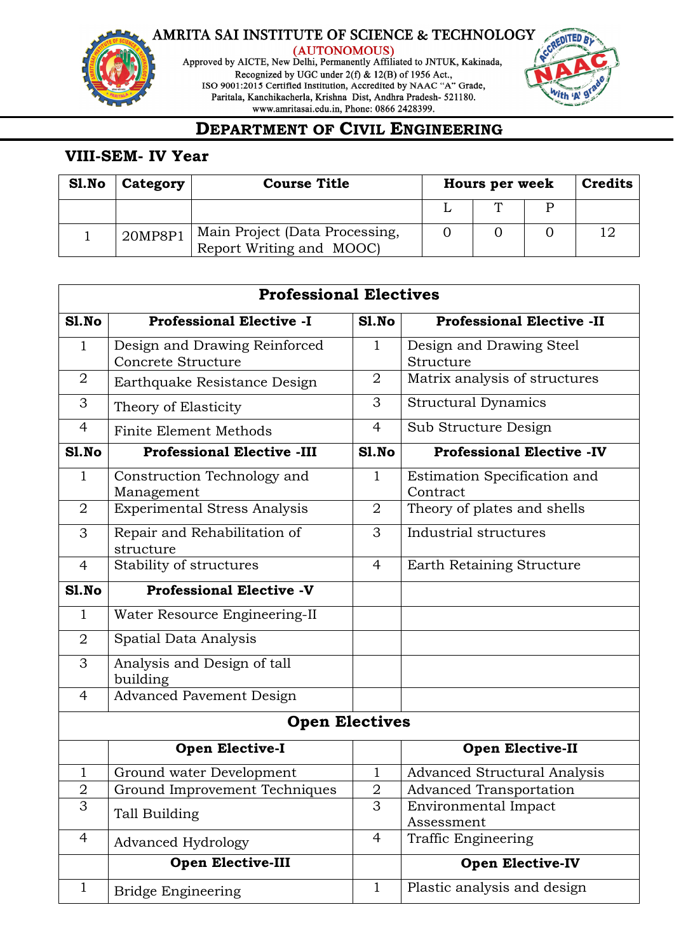

(AUTONOMOUS)<br>Approved by AICTE, New Delhi, Permanently Affiliated to JNTUK, Kakinada, Recognized by UGC under 2(f) & 12(B) of 1956 Act., ISO 9001:2015 Certified Institution, Accredited by NAAC "A" Grade,<br>Paritala, Kanchikacherla, Krishna Dist, Andhra Pradesh-521180. www.amritasai.edu.in, Phone: 0866 2428399.



### **DEPARTMENT OF CIVIL ENGINEERING**

### **VIII-SEM- IV Year**

| Sl.No | Category | <b>Course Title</b>                                        | <b>Hours per week</b> |  |  |  |
|-------|----------|------------------------------------------------------------|-----------------------|--|--|--|
|       |          |                                                            |                       |  |  |  |
|       | 20MP8P1  | Main Project (Data Processing,<br>Report Writing and MOOC) |                       |  |  |  |

|                | <b>Professional Electives</b>       |                |                                     |
|----------------|-------------------------------------|----------------|-------------------------------------|
| S1.No          | <b>Professional Elective -I</b>     | Sl.No          | <b>Professional Elective -II</b>    |
| $\mathbf{1}$   | Design and Drawing Reinforced       | 1              | Design and Drawing Steel            |
|                | Concrete Structure                  |                | Structure                           |
| $\overline{2}$ | Earthquake Resistance Design        | $\overline{2}$ | Matrix analysis of structures       |
| 3              | Theory of Elasticity                | 3              | <b>Structural Dynamics</b>          |
| 4              | <b>Finite Element Methods</b>       | $\overline{4}$ | Sub Structure Design                |
| S1.No          | <b>Professional Elective -III</b>   | S1.No          | <b>Professional Elective -IV</b>    |
| $\mathbf{1}$   | Construction Technology and         | $\mathbf{1}$   | Estimation Specification and        |
|                | Management                          |                | Contract                            |
| $\overline{2}$ | <b>Experimental Stress Analysis</b> | 2              | Theory of plates and shells         |
| 3              | Repair and Rehabilitation of        | 3              | Industrial structures               |
|                | structure                           |                |                                     |
| 4              | Stability of structures             | 4              | Earth Retaining Structure           |
| S1.No          | <b>Professional Elective -V</b>     |                |                                     |
| $\mathbf{1}$   | Water Resource Engineering-II       |                |                                     |
| 2              | Spatial Data Analysis               |                |                                     |
| 3              | Analysis and Design of tall         |                |                                     |
|                | building                            |                |                                     |
| 4              | <b>Advanced Pavement Design</b>     |                |                                     |
|                | <b>Open Electives</b>               |                |                                     |
|                | <b>Open Elective-I</b>              |                | <b>Open Elective-II</b>             |
| 1              | Ground water Development            | 1              | <b>Advanced Structural Analysis</b> |
| $\overline{2}$ | Ground Improvement Techniques       | $\overline{2}$ | <b>Advanced Transportation</b>      |
| 3              |                                     | 3              | Environmental Impact                |
|                | Tall Building                       |                | Assessment                          |
| $\overline{4}$ | <b>Advanced Hydrology</b>           | $\overline{4}$ | Traffic Engineering                 |
|                | <b>Open Elective-III</b>            |                | <b>Open Elective-IV</b>             |
| $\mathbf{1}$   | <b>Bridge Engineering</b>           | $\mathbf{1}$   | Plastic analysis and design         |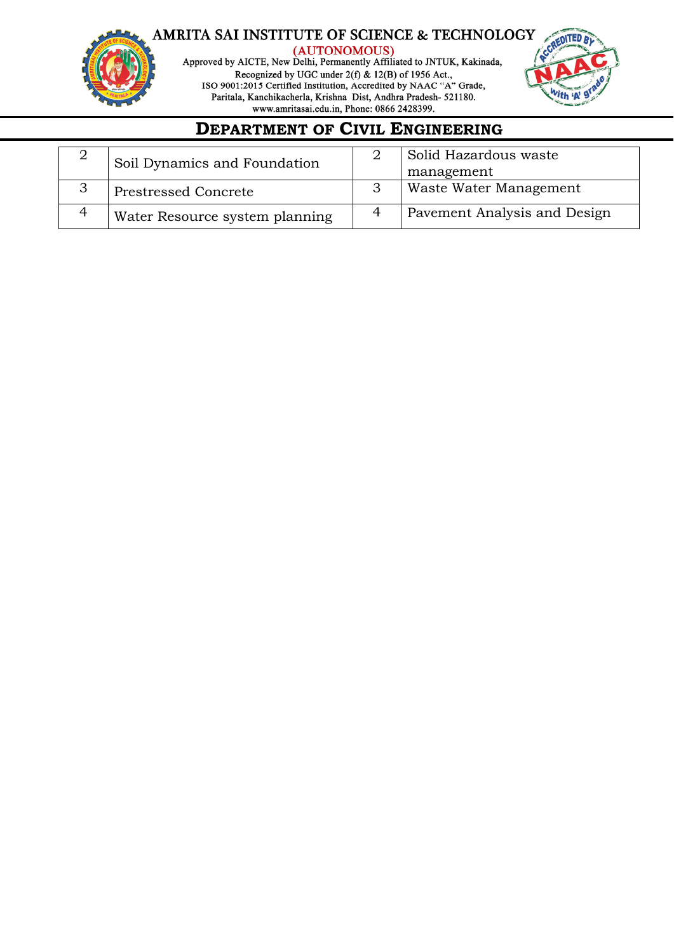

(AUTONOMOUS)<br>Approved by AICTE, New Delhi, Permanently Affiliated to JNTUK, Kakinada, Recognized by UGC under 2(f) & 12(B) of 1956 Act., ISO 9001:2015 Certified Institution, Accredited by NAAC "A" Grade,<br>Paritala, Kanchikacherla, Krishna Dist, Andhra Pradesh-521180. www.amritasai.edu.in, Phone: 0866 2428399.



## **DEPARTMENT OF CIVIL ENGINEERING**

| Soil Dynamics and Foundation   | Solid Hazardous waste<br>management |
|--------------------------------|-------------------------------------|
| <b>Prestressed Concrete</b>    | Waste Water Management              |
| Water Resource system planning | Pavement Analysis and Design        |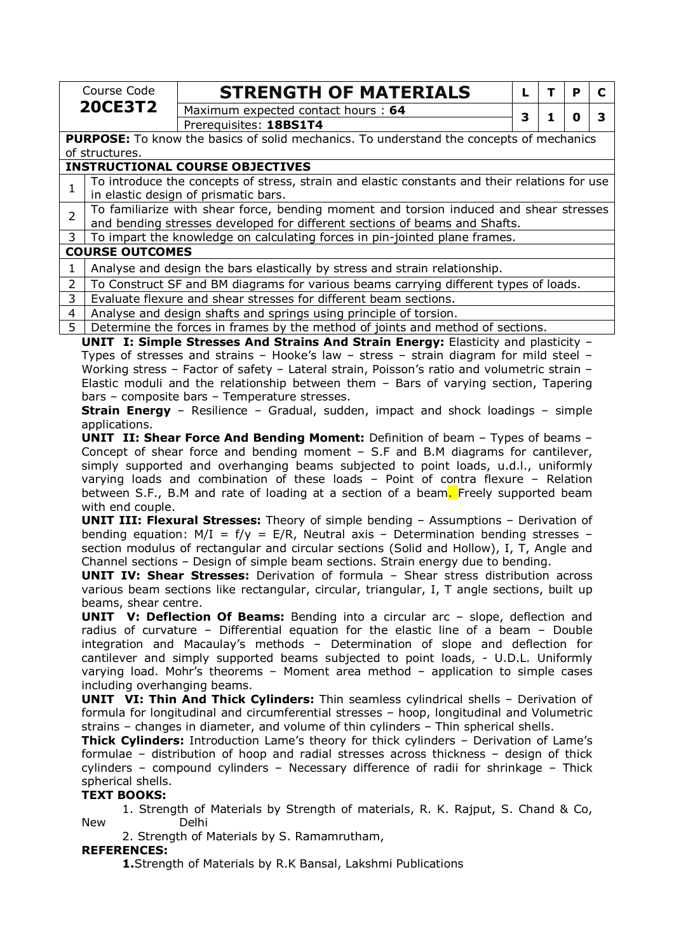| <b>20CE3T2</b><br>Maximum expected contact hours: 64<br>3<br>1<br>O<br>Prerequisites: 18BS1T4<br>PURPOSE: To know the basics of solid mechanics. To understand the concepts of mechanics<br>of structures.<br><b>INSTRUCTIONAL COURSE OBJECTIVES</b><br>To introduce the concepts of stress, strain and elastic constants and their relations for use<br>$\mathbf{1}$<br>in elastic design of prismatic bars.<br>To familiarize with shear force, bending moment and torsion induced and shear stresses<br>$\overline{2}$<br>and bending stresses developed for different sections of beams and Shafts.<br>3<br>To impart the knowledge on calculating forces in pin-jointed plane frames.<br><b>COURSE OUTCOMES</b><br>Analyse and design the bars elastically by stress and strain relationship.<br>1<br>$\overline{2}$<br>To Construct SF and BM diagrams for various beams carrying different types of loads.<br>3<br>Evaluate flexure and shear stresses for different beam sections.<br>Analyse and design shafts and springs using principle of torsion.<br>4<br>$\overline{5}$<br>Determine the forces in frames by the method of joints and method of sections.<br>UNIT I: Simple Stresses And Strains And Strain Energy: Elasticity and plasticity -<br>Types of stresses and strains - Hooke's law - stress - strain diagram for mild steel -<br>Working stress - Factor of safety - Lateral strain, Poisson's ratio and volumetric strain -<br>Elastic moduli and the relationship between them - Bars of varying section, Tapering<br>bars - composite bars - Temperature stresses.<br><b>Strain Energy</b> - Resilience - Gradual, sudden, impact and shock loadings - simple<br>applications.<br><b>UNIT II: Shear Force And Bending Moment:</b> Definition of beam - Types of beams -<br>Concept of shear force and bending moment $-$ S.F and B.M diagrams for cantilever,<br>simply supported and overhanging beams subjected to point loads, u.d.l., uniformly<br>varying loads and combination of these loads - Point of contra flexure - Relation<br>between S.F., B.M and rate of loading at a section of a beam. Freely supported beam<br>with end couple.<br><b>UNIT III: Flexural Stresses:</b> Theory of simple bending - Assumptions - Derivation of<br>bending equation: $M/I = f/y = E/R$ , Neutral axis - Determination bending stresses -<br>section modulus of rectangular and circular sections (Solid and Hollow), I, T, Angle and<br>Channel sections - Design of simple beam sections. Strain energy due to bending.<br>UNIT IV: Shear Stresses: Derivation of formula - Shear stress distribution across<br>various beam sections like rectangular, circular, triangular, I, T angle sections, built up<br>beams, shear centre.<br><b>UNIT</b> V: Deflection Of Beams: Bending into a circular arc - slope, deflection and<br>radius of curvature - Differential equation for the elastic line of a beam - Double<br>integration and Macaulay's methods - Determination of slope and deflection for<br>cantilever and simply supported beams subjected to point loads, - U.D.L. Uniformly<br>varying load. Mohr's theorems - Moment area method - application to simple cases<br>including overhanging beams.<br><b>UNIT VI: Thin And Thick Cylinders:</b> Thin seamless cylindrical shells - Derivation of<br>formula for longitudinal and circumferential stresses - hoop, longitudinal and Volumetric<br>strains - changes in diameter, and volume of thin cylinders - Thin spherical shells.<br>Thick Cylinders: Introduction Lame's theory for thick cylinders - Derivation of Lame's<br>formulae - distribution of hoop and radial stresses across thickness - design of thick<br>cylinders - compound cylinders - Necessary difference of radii for shrinkage - Thick<br>spherical shells.<br><b>TEXT BOOKS:</b><br>1. Strength of Materials by Strength of materials, R. K. Rajput, S. Chand & Co,<br><b>New</b><br>Delhi<br>2. Strength of Materials by S. Ramamrutham, | Course Code | <b>STRENGTH OF MATERIALS</b> | L | T | P | C            |
|-----------------------------------------------------------------------------------------------------------------------------------------------------------------------------------------------------------------------------------------------------------------------------------------------------------------------------------------------------------------------------------------------------------------------------------------------------------------------------------------------------------------------------------------------------------------------------------------------------------------------------------------------------------------------------------------------------------------------------------------------------------------------------------------------------------------------------------------------------------------------------------------------------------------------------------------------------------------------------------------------------------------------------------------------------------------------------------------------------------------------------------------------------------------------------------------------------------------------------------------------------------------------------------------------------------------------------------------------------------------------------------------------------------------------------------------------------------------------------------------------------------------------------------------------------------------------------------------------------------------------------------------------------------------------------------------------------------------------------------------------------------------------------------------------------------------------------------------------------------------------------------------------------------------------------------------------------------------------------------------------------------------------------------------------------------------------------------------------------------------------------------------------------------------------------------------------------------------------------------------------------------------------------------------------------------------------------------------------------------------------------------------------------------------------------------------------------------------------------------------------------------------------------------------------------------------------------------------------------------------------------------------------------------------------------------------------------------------------------------------------------------------------------------------------------------------------------------------------------------------------------------------------------------------------------------------------------------------------------------------------------------------------------------------------------------------------------------------------------------------------------------------------------------------------------------------------------------------------------------------------------------------------------------------------------------------------------------------------------------------------------------------------------------------------------------------------------------------------------------------------------------------------------------------------------------------------------------------------------------------------------------------------------------------------------------------------------------------------------------------------------------------------------------------------------------------------------------------------------------------------------------------------------------------------------------------------------------------------------------------------------------------------|-------------|------------------------------|---|---|---|--------------|
|                                                                                                                                                                                                                                                                                                                                                                                                                                                                                                                                                                                                                                                                                                                                                                                                                                                                                                                                                                                                                                                                                                                                                                                                                                                                                                                                                                                                                                                                                                                                                                                                                                                                                                                                                                                                                                                                                                                                                                                                                                                                                                                                                                                                                                                                                                                                                                                                                                                                                                                                                                                                                                                                                                                                                                                                                                                                                                                                                                                                                                                                                                                                                                                                                                                                                                                                                                                                                                                                                                                                                                                                                                                                                                                                                                                                                                                                                                                                                                                                                       |             |                              |   |   |   | $\mathbf{3}$ |
|                                                                                                                                                                                                                                                                                                                                                                                                                                                                                                                                                                                                                                                                                                                                                                                                                                                                                                                                                                                                                                                                                                                                                                                                                                                                                                                                                                                                                                                                                                                                                                                                                                                                                                                                                                                                                                                                                                                                                                                                                                                                                                                                                                                                                                                                                                                                                                                                                                                                                                                                                                                                                                                                                                                                                                                                                                                                                                                                                                                                                                                                                                                                                                                                                                                                                                                                                                                                                                                                                                                                                                                                                                                                                                                                                                                                                                                                                                                                                                                                                       |             |                              |   |   |   |              |
|                                                                                                                                                                                                                                                                                                                                                                                                                                                                                                                                                                                                                                                                                                                                                                                                                                                                                                                                                                                                                                                                                                                                                                                                                                                                                                                                                                                                                                                                                                                                                                                                                                                                                                                                                                                                                                                                                                                                                                                                                                                                                                                                                                                                                                                                                                                                                                                                                                                                                                                                                                                                                                                                                                                                                                                                                                                                                                                                                                                                                                                                                                                                                                                                                                                                                                                                                                                                                                                                                                                                                                                                                                                                                                                                                                                                                                                                                                                                                                                                                       |             |                              |   |   |   |              |
|                                                                                                                                                                                                                                                                                                                                                                                                                                                                                                                                                                                                                                                                                                                                                                                                                                                                                                                                                                                                                                                                                                                                                                                                                                                                                                                                                                                                                                                                                                                                                                                                                                                                                                                                                                                                                                                                                                                                                                                                                                                                                                                                                                                                                                                                                                                                                                                                                                                                                                                                                                                                                                                                                                                                                                                                                                                                                                                                                                                                                                                                                                                                                                                                                                                                                                                                                                                                                                                                                                                                                                                                                                                                                                                                                                                                                                                                                                                                                                                                                       |             |                              |   |   |   |              |
|                                                                                                                                                                                                                                                                                                                                                                                                                                                                                                                                                                                                                                                                                                                                                                                                                                                                                                                                                                                                                                                                                                                                                                                                                                                                                                                                                                                                                                                                                                                                                                                                                                                                                                                                                                                                                                                                                                                                                                                                                                                                                                                                                                                                                                                                                                                                                                                                                                                                                                                                                                                                                                                                                                                                                                                                                                                                                                                                                                                                                                                                                                                                                                                                                                                                                                                                                                                                                                                                                                                                                                                                                                                                                                                                                                                                                                                                                                                                                                                                                       |             |                              |   |   |   |              |
|                                                                                                                                                                                                                                                                                                                                                                                                                                                                                                                                                                                                                                                                                                                                                                                                                                                                                                                                                                                                                                                                                                                                                                                                                                                                                                                                                                                                                                                                                                                                                                                                                                                                                                                                                                                                                                                                                                                                                                                                                                                                                                                                                                                                                                                                                                                                                                                                                                                                                                                                                                                                                                                                                                                                                                                                                                                                                                                                                                                                                                                                                                                                                                                                                                                                                                                                                                                                                                                                                                                                                                                                                                                                                                                                                                                                                                                                                                                                                                                                                       |             |                              |   |   |   |              |
|                                                                                                                                                                                                                                                                                                                                                                                                                                                                                                                                                                                                                                                                                                                                                                                                                                                                                                                                                                                                                                                                                                                                                                                                                                                                                                                                                                                                                                                                                                                                                                                                                                                                                                                                                                                                                                                                                                                                                                                                                                                                                                                                                                                                                                                                                                                                                                                                                                                                                                                                                                                                                                                                                                                                                                                                                                                                                                                                                                                                                                                                                                                                                                                                                                                                                                                                                                                                                                                                                                                                                                                                                                                                                                                                                                                                                                                                                                                                                                                                                       |             |                              |   |   |   |              |
|                                                                                                                                                                                                                                                                                                                                                                                                                                                                                                                                                                                                                                                                                                                                                                                                                                                                                                                                                                                                                                                                                                                                                                                                                                                                                                                                                                                                                                                                                                                                                                                                                                                                                                                                                                                                                                                                                                                                                                                                                                                                                                                                                                                                                                                                                                                                                                                                                                                                                                                                                                                                                                                                                                                                                                                                                                                                                                                                                                                                                                                                                                                                                                                                                                                                                                                                                                                                                                                                                                                                                                                                                                                                                                                                                                                                                                                                                                                                                                                                                       |             |                              |   |   |   |              |
|                                                                                                                                                                                                                                                                                                                                                                                                                                                                                                                                                                                                                                                                                                                                                                                                                                                                                                                                                                                                                                                                                                                                                                                                                                                                                                                                                                                                                                                                                                                                                                                                                                                                                                                                                                                                                                                                                                                                                                                                                                                                                                                                                                                                                                                                                                                                                                                                                                                                                                                                                                                                                                                                                                                                                                                                                                                                                                                                                                                                                                                                                                                                                                                                                                                                                                                                                                                                                                                                                                                                                                                                                                                                                                                                                                                                                                                                                                                                                                                                                       |             |                              |   |   |   |              |
|                                                                                                                                                                                                                                                                                                                                                                                                                                                                                                                                                                                                                                                                                                                                                                                                                                                                                                                                                                                                                                                                                                                                                                                                                                                                                                                                                                                                                                                                                                                                                                                                                                                                                                                                                                                                                                                                                                                                                                                                                                                                                                                                                                                                                                                                                                                                                                                                                                                                                                                                                                                                                                                                                                                                                                                                                                                                                                                                                                                                                                                                                                                                                                                                                                                                                                                                                                                                                                                                                                                                                                                                                                                                                                                                                                                                                                                                                                                                                                                                                       |             |                              |   |   |   |              |
|                                                                                                                                                                                                                                                                                                                                                                                                                                                                                                                                                                                                                                                                                                                                                                                                                                                                                                                                                                                                                                                                                                                                                                                                                                                                                                                                                                                                                                                                                                                                                                                                                                                                                                                                                                                                                                                                                                                                                                                                                                                                                                                                                                                                                                                                                                                                                                                                                                                                                                                                                                                                                                                                                                                                                                                                                                                                                                                                                                                                                                                                                                                                                                                                                                                                                                                                                                                                                                                                                                                                                                                                                                                                                                                                                                                                                                                                                                                                                                                                                       |             |                              |   |   |   |              |
|                                                                                                                                                                                                                                                                                                                                                                                                                                                                                                                                                                                                                                                                                                                                                                                                                                                                                                                                                                                                                                                                                                                                                                                                                                                                                                                                                                                                                                                                                                                                                                                                                                                                                                                                                                                                                                                                                                                                                                                                                                                                                                                                                                                                                                                                                                                                                                                                                                                                                                                                                                                                                                                                                                                                                                                                                                                                                                                                                                                                                                                                                                                                                                                                                                                                                                                                                                                                                                                                                                                                                                                                                                                                                                                                                                                                                                                                                                                                                                                                                       |             |                              |   |   |   |              |
|                                                                                                                                                                                                                                                                                                                                                                                                                                                                                                                                                                                                                                                                                                                                                                                                                                                                                                                                                                                                                                                                                                                                                                                                                                                                                                                                                                                                                                                                                                                                                                                                                                                                                                                                                                                                                                                                                                                                                                                                                                                                                                                                                                                                                                                                                                                                                                                                                                                                                                                                                                                                                                                                                                                                                                                                                                                                                                                                                                                                                                                                                                                                                                                                                                                                                                                                                                                                                                                                                                                                                                                                                                                                                                                                                                                                                                                                                                                                                                                                                       |             |                              |   |   |   |              |
|                                                                                                                                                                                                                                                                                                                                                                                                                                                                                                                                                                                                                                                                                                                                                                                                                                                                                                                                                                                                                                                                                                                                                                                                                                                                                                                                                                                                                                                                                                                                                                                                                                                                                                                                                                                                                                                                                                                                                                                                                                                                                                                                                                                                                                                                                                                                                                                                                                                                                                                                                                                                                                                                                                                                                                                                                                                                                                                                                                                                                                                                                                                                                                                                                                                                                                                                                                                                                                                                                                                                                                                                                                                                                                                                                                                                                                                                                                                                                                                                                       |             |                              |   |   |   |              |
|                                                                                                                                                                                                                                                                                                                                                                                                                                                                                                                                                                                                                                                                                                                                                                                                                                                                                                                                                                                                                                                                                                                                                                                                                                                                                                                                                                                                                                                                                                                                                                                                                                                                                                                                                                                                                                                                                                                                                                                                                                                                                                                                                                                                                                                                                                                                                                                                                                                                                                                                                                                                                                                                                                                                                                                                                                                                                                                                                                                                                                                                                                                                                                                                                                                                                                                                                                                                                                                                                                                                                                                                                                                                                                                                                                                                                                                                                                                                                                                                                       |             |                              |   |   |   |              |
|                                                                                                                                                                                                                                                                                                                                                                                                                                                                                                                                                                                                                                                                                                                                                                                                                                                                                                                                                                                                                                                                                                                                                                                                                                                                                                                                                                                                                                                                                                                                                                                                                                                                                                                                                                                                                                                                                                                                                                                                                                                                                                                                                                                                                                                                                                                                                                                                                                                                                                                                                                                                                                                                                                                                                                                                                                                                                                                                                                                                                                                                                                                                                                                                                                                                                                                                                                                                                                                                                                                                                                                                                                                                                                                                                                                                                                                                                                                                                                                                                       |             |                              |   |   |   |              |
|                                                                                                                                                                                                                                                                                                                                                                                                                                                                                                                                                                                                                                                                                                                                                                                                                                                                                                                                                                                                                                                                                                                                                                                                                                                                                                                                                                                                                                                                                                                                                                                                                                                                                                                                                                                                                                                                                                                                                                                                                                                                                                                                                                                                                                                                                                                                                                                                                                                                                                                                                                                                                                                                                                                                                                                                                                                                                                                                                                                                                                                                                                                                                                                                                                                                                                                                                                                                                                                                                                                                                                                                                                                                                                                                                                                                                                                                                                                                                                                                                       |             |                              |   |   |   |              |
|                                                                                                                                                                                                                                                                                                                                                                                                                                                                                                                                                                                                                                                                                                                                                                                                                                                                                                                                                                                                                                                                                                                                                                                                                                                                                                                                                                                                                                                                                                                                                                                                                                                                                                                                                                                                                                                                                                                                                                                                                                                                                                                                                                                                                                                                                                                                                                                                                                                                                                                                                                                                                                                                                                                                                                                                                                                                                                                                                                                                                                                                                                                                                                                                                                                                                                                                                                                                                                                                                                                                                                                                                                                                                                                                                                                                                                                                                                                                                                                                                       |             |                              |   |   |   |              |
|                                                                                                                                                                                                                                                                                                                                                                                                                                                                                                                                                                                                                                                                                                                                                                                                                                                                                                                                                                                                                                                                                                                                                                                                                                                                                                                                                                                                                                                                                                                                                                                                                                                                                                                                                                                                                                                                                                                                                                                                                                                                                                                                                                                                                                                                                                                                                                                                                                                                                                                                                                                                                                                                                                                                                                                                                                                                                                                                                                                                                                                                                                                                                                                                                                                                                                                                                                                                                                                                                                                                                                                                                                                                                                                                                                                                                                                                                                                                                                                                                       |             |                              |   |   |   |              |
|                                                                                                                                                                                                                                                                                                                                                                                                                                                                                                                                                                                                                                                                                                                                                                                                                                                                                                                                                                                                                                                                                                                                                                                                                                                                                                                                                                                                                                                                                                                                                                                                                                                                                                                                                                                                                                                                                                                                                                                                                                                                                                                                                                                                                                                                                                                                                                                                                                                                                                                                                                                                                                                                                                                                                                                                                                                                                                                                                                                                                                                                                                                                                                                                                                                                                                                                                                                                                                                                                                                                                                                                                                                                                                                                                                                                                                                                                                                                                                                                                       |             |                              |   |   |   |              |
|                                                                                                                                                                                                                                                                                                                                                                                                                                                                                                                                                                                                                                                                                                                                                                                                                                                                                                                                                                                                                                                                                                                                                                                                                                                                                                                                                                                                                                                                                                                                                                                                                                                                                                                                                                                                                                                                                                                                                                                                                                                                                                                                                                                                                                                                                                                                                                                                                                                                                                                                                                                                                                                                                                                                                                                                                                                                                                                                                                                                                                                                                                                                                                                                                                                                                                                                                                                                                                                                                                                                                                                                                                                                                                                                                                                                                                                                                                                                                                                                                       |             |                              |   |   |   |              |
|                                                                                                                                                                                                                                                                                                                                                                                                                                                                                                                                                                                                                                                                                                                                                                                                                                                                                                                                                                                                                                                                                                                                                                                                                                                                                                                                                                                                                                                                                                                                                                                                                                                                                                                                                                                                                                                                                                                                                                                                                                                                                                                                                                                                                                                                                                                                                                                                                                                                                                                                                                                                                                                                                                                                                                                                                                                                                                                                                                                                                                                                                                                                                                                                                                                                                                                                                                                                                                                                                                                                                                                                                                                                                                                                                                                                                                                                                                                                                                                                                       |             |                              |   |   |   |              |
|                                                                                                                                                                                                                                                                                                                                                                                                                                                                                                                                                                                                                                                                                                                                                                                                                                                                                                                                                                                                                                                                                                                                                                                                                                                                                                                                                                                                                                                                                                                                                                                                                                                                                                                                                                                                                                                                                                                                                                                                                                                                                                                                                                                                                                                                                                                                                                                                                                                                                                                                                                                                                                                                                                                                                                                                                                                                                                                                                                                                                                                                                                                                                                                                                                                                                                                                                                                                                                                                                                                                                                                                                                                                                                                                                                                                                                                                                                                                                                                                                       |             |                              |   |   |   |              |
| <b>REFERENCES:</b><br>1. Strength of Materials by R.K Bansal, Lakshmi Publications                                                                                                                                                                                                                                                                                                                                                                                                                                                                                                                                                                                                                                                                                                                                                                                                                                                                                                                                                                                                                                                                                                                                                                                                                                                                                                                                                                                                                                                                                                                                                                                                                                                                                                                                                                                                                                                                                                                                                                                                                                                                                                                                                                                                                                                                                                                                                                                                                                                                                                                                                                                                                                                                                                                                                                                                                                                                                                                                                                                                                                                                                                                                                                                                                                                                                                                                                                                                                                                                                                                                                                                                                                                                                                                                                                                                                                                                                                                                    |             |                              |   |   |   |              |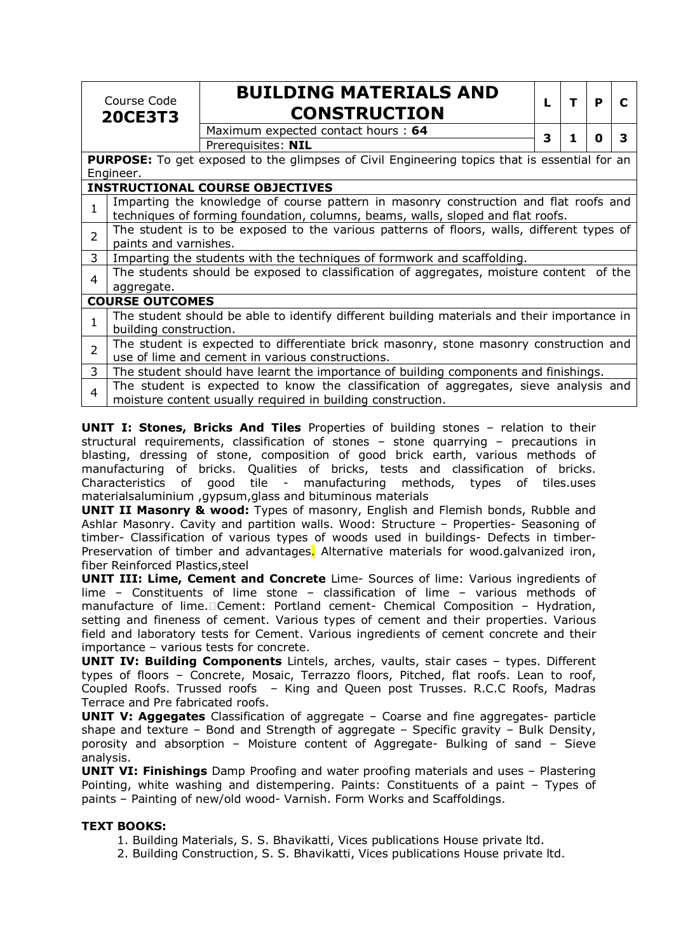|                | Course Code<br><b>20CE3T3</b>                                                                                                                       | <b>BUILDING MATERIALS AND</b><br><b>CONSTRUCTION</b>                                                                                                                    | L | т | P | C |
|----------------|-----------------------------------------------------------------------------------------------------------------------------------------------------|-------------------------------------------------------------------------------------------------------------------------------------------------------------------------|---|---|---|---|
|                |                                                                                                                                                     | Maximum expected contact hours: 64                                                                                                                                      | 3 |   | O | 3 |
|                |                                                                                                                                                     | Prerequisites: NIL                                                                                                                                                      |   |   |   |   |
|                |                                                                                                                                                     | <b>PURPOSE:</b> To get exposed to the glimpses of Civil Engineering topics that is essential for an                                                                     |   |   |   |   |
|                | Engineer.                                                                                                                                           |                                                                                                                                                                         |   |   |   |   |
|                |                                                                                                                                                     | <b>INSTRUCTIONAL COURSE OBJECTIVES</b>                                                                                                                                  |   |   |   |   |
| 1              |                                                                                                                                                     | Imparting the knowledge of course pattern in masonry construction and flat roofs and<br>techniques of forming foundation, columns, beams, walls, sloped and flat roofs. |   |   |   |   |
| $\overline{2}$ |                                                                                                                                                     | The student is to be exposed to the various patterns of floors, walls, different types of                                                                               |   |   |   |   |
|                | paints and varnishes.                                                                                                                               |                                                                                                                                                                         |   |   |   |   |
| 3              |                                                                                                                                                     | Imparting the students with the techniques of formwork and scaffolding.                                                                                                 |   |   |   |   |
| 4              |                                                                                                                                                     | The students should be exposed to classification of aggregates, moisture content of the                                                                                 |   |   |   |   |
|                | aggregate.                                                                                                                                          |                                                                                                                                                                         |   |   |   |   |
|                | <b>COURSE OUTCOMES</b>                                                                                                                              |                                                                                                                                                                         |   |   |   |   |
| 1              |                                                                                                                                                     | The student should be able to identify different building materials and their importance in                                                                             |   |   |   |   |
|                | building construction.                                                                                                                              |                                                                                                                                                                         |   |   |   |   |
| $\overline{2}$ | The student is expected to differentiate brick masonry, stone masonry construction and                                                              |                                                                                                                                                                         |   |   |   |   |
|                | use of lime and cement in various constructions.                                                                                                    |                                                                                                                                                                         |   |   |   |   |
| 3              |                                                                                                                                                     | The student should have learnt the importance of building components and finishings.                                                                                    |   |   |   |   |
| 4              | The student is expected to know the classification of aggregates, sieve analysis and<br>moisture content usually required in building construction. |                                                                                                                                                                         |   |   |   |   |

**UNIT I: Stones, Bricks And Tiles** Properties of building stones – relation to their structural requirements, classification of stones – stone quarrying – precautions in blasting, dressing of stone, composition of good brick earth, various methods of manufacturing of bricks. Qualities of bricks, tests and classification of bricks. Characteristics of good tile - manufacturing methods, types of tiles.uses materialsaluminium ,gypsum,glass and bituminous materials

**UNIT II Masonry & wood:** Types of masonry, English and Flemish bonds, Rubble and Ashlar Masonry. Cavity and partition walls. Wood: Structure – Properties- Seasoning of timber- Classification of various types of woods used in buildings- Defects in timber-Preservation of timber and advantages. Alternative materials for wood.galvanized iron, fiber Reinforced Plastics,steel

**UNIT III: Lime, Cement and Concrete** Lime- Sources of lime: Various ingredients of lime – Constituents of lime stone – classification of lime – various methods of manufacture of lime. Cement: Portland cement- Chemical Composition - Hydration, setting and fineness of cement. Various types of cement and their properties. Various field and laboratory tests for Cement. Various ingredients of cement concrete and their importance – various tests for concrete.

**UNIT IV: Building Components** Lintels, arches, vaults, stair cases – types. Different types of floors – Concrete, Mosaic, Terrazzo floors, Pitched, flat roofs. Lean to roof, Coupled Roofs. Trussed roofs – King and Queen post Trusses. R.C.C Roofs, Madras Terrace and Pre fabricated roofs.

**UNIT V: Aggegates** Classification of aggregate – Coarse and fine aggregates- particle shape and texture – Bond and Strength of aggregate – Specific gravity – Bulk Density, porosity and absorption – Moisture content of Aggregate- Bulking of sand – Sieve analysis.

**UNIT VI: Finishings** Damp Proofing and water proofing materials and uses – Plastering Pointing, white washing and distempering. Paints: Constituents of a paint – Types of paints – Painting of new/old wood- Varnish. Form Works and Scaffoldings.

#### **TEXT BOOKS:**

- 1. Building Materials, S. S. Bhavikatti, Vices publications House private ltd.
- 2. Building Construction, S. S. Bhavikatti, Vices publications House private ltd.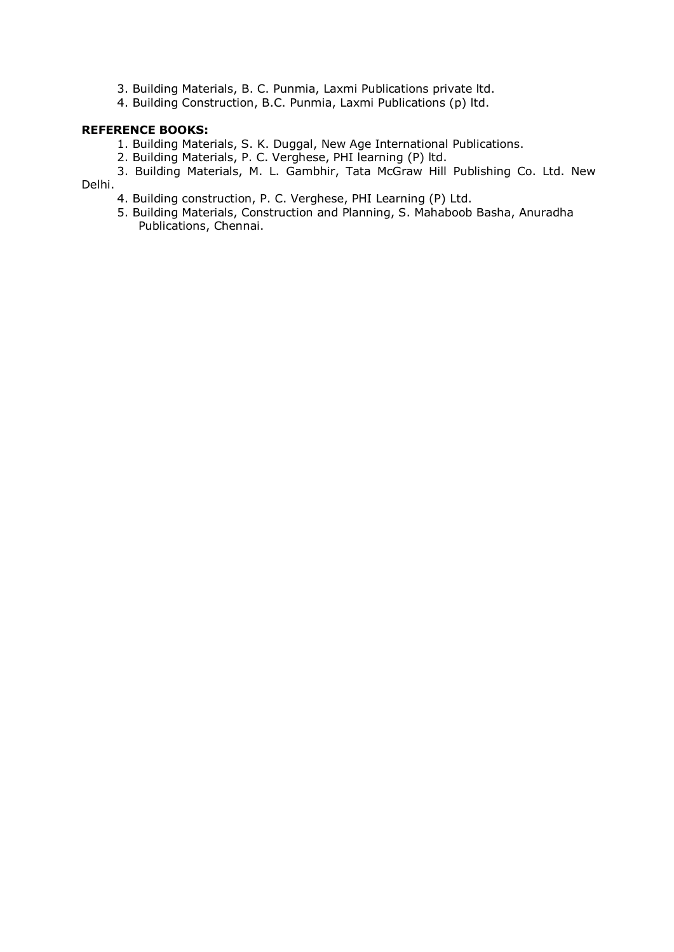- 3. Building Materials, B. C. Punmia, Laxmi Publications private ltd.
- 4. Building Construction, B.C. Punmia, Laxmi Publications (p) ltd.

### **REFERENCE BOOKS:**

- 1. Building Materials, S. K. Duggal, New Age International Publications.
- 2. Building Materials, P. C. Verghese, PHI learning (P) ltd.
- 3. Building Materials, M. L. Gambhir, Tata McGraw Hill Publishing Co. Ltd. New Delhi.
	- 4. Building construction, P. C. Verghese, PHI Learning (P) Ltd.
	- 5. Building Materials, Construction and Planning, S. Mahaboob Basha, Anuradha Publications, Chennai.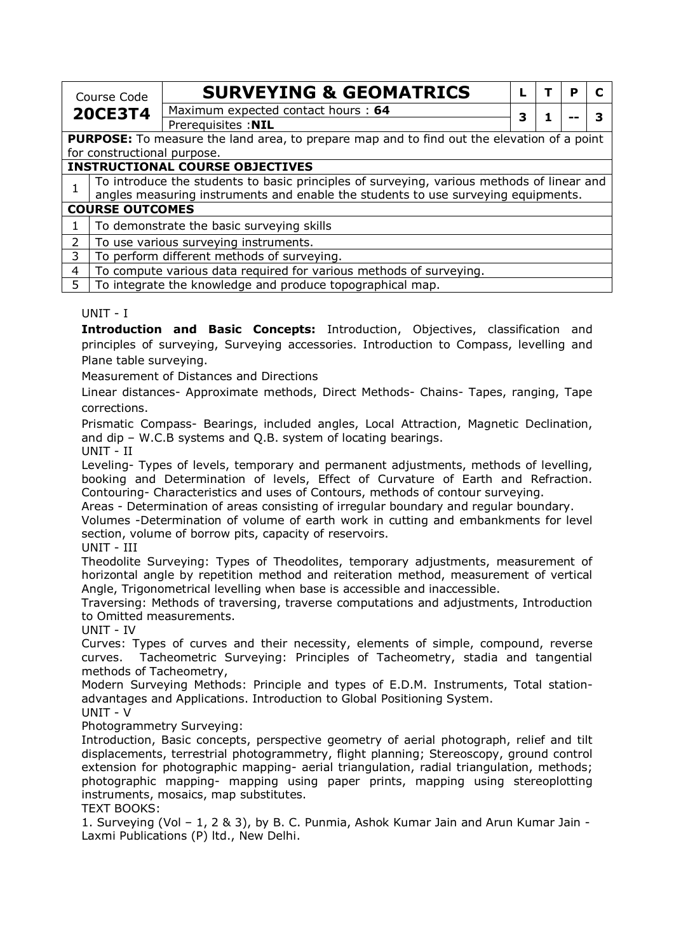| Course Code    |                                                           | <b>SURVEYING &amp; GEOMATRICS</b>                                                                 |   |  | р |  |  |
|----------------|-----------------------------------------------------------|---------------------------------------------------------------------------------------------------|---|--|---|--|--|
| <b>20CE3T4</b> |                                                           | Maximum expected contact hours: 64                                                                | 3 |  |   |  |  |
|                |                                                           | Prerequisites : NIL                                                                               |   |  |   |  |  |
|                |                                                           | <b>PURPOSE:</b> To measure the land area, to prepare map and to find out the elevation of a point |   |  |   |  |  |
|                | for constructional purpose.                               |                                                                                                   |   |  |   |  |  |
|                |                                                           | <b>INSTRUCTIONAL COURSE OBJECTIVES</b>                                                            |   |  |   |  |  |
|                |                                                           | To introduce the students to basic principles of surveying, various methods of linear and         |   |  |   |  |  |
|                |                                                           | angles measuring instruments and enable the students to use surveying equipments.                 |   |  |   |  |  |
|                | <b>COURSE OUTCOMES</b>                                    |                                                                                                   |   |  |   |  |  |
| 1              |                                                           | To demonstrate the basic surveying skills                                                         |   |  |   |  |  |
| $\mathcal{L}$  |                                                           | To use various surveying instruments.                                                             |   |  |   |  |  |
| 3              | To perform different methods of surveying.                |                                                                                                   |   |  |   |  |  |
| 4              |                                                           | To compute various data required for various methods of surveying.                                |   |  |   |  |  |
| 5              | To integrate the knowledge and produce topographical map. |                                                                                                   |   |  |   |  |  |

### UNIT - I

**Introduction and Basic Concepts:** Introduction, Objectives, classification and principles of surveying, Surveying accessories. Introduction to Compass, levelling and Plane table surveying.

Measurement of Distances and Directions

Linear distances- Approximate methods, Direct Methods- Chains- Tapes, ranging, Tape corrections.

Prismatic Compass- Bearings, included angles, Local Attraction, Magnetic Declination, and dip – W.C.B systems and Q.B. system of locating bearings.

UNIT - II

Leveling- Types of levels, temporary and permanent adjustments, methods of levelling, booking and Determination of levels, Effect of Curvature of Earth and Refraction. Contouring- Characteristics and uses of Contours, methods of contour surveying.

Areas - Determination of areas consisting of irregular boundary and regular boundary.

Volumes -Determination of volume of earth work in cutting and embankments for level section, volume of borrow pits, capacity of reservoirs.

UNIT - III

Theodolite Surveying: Types of Theodolites, temporary adjustments, measurement of horizontal angle by repetition method and reiteration method, measurement of vertical Angle, Trigonometrical levelling when base is accessible and inaccessible.

Traversing: Methods of traversing, traverse computations and adjustments, Introduction to Omitted measurements.

UNIT - IV

Curves: Types of curves and their necessity, elements of simple, compound, reverse curves. Tacheometric Surveying: Principles of Tacheometry, stadia and tangential methods of Tacheometry,

Modern Surveying Methods: Principle and types of E.D.M. Instruments, Total stationadvantages and Applications. Introduction to Global Positioning System.

UNIT - V

Photogrammetry Surveying:

Introduction, Basic concepts, perspective geometry of aerial photograph, relief and tilt displacements, terrestrial photogrammetry, flight planning; Stereoscopy, ground control extension for photographic mapping- aerial triangulation, radial triangulation, methods; photographic mapping- mapping using paper prints, mapping using stereoplotting instruments, mosaics, map substitutes.

TEXT BOOKS:

1. Surveying (Vol – 1, 2 & 3), by B. C. Punmia, Ashok Kumar Jain and Arun Kumar Jain - Laxmi Publications (P) ltd., New Delhi.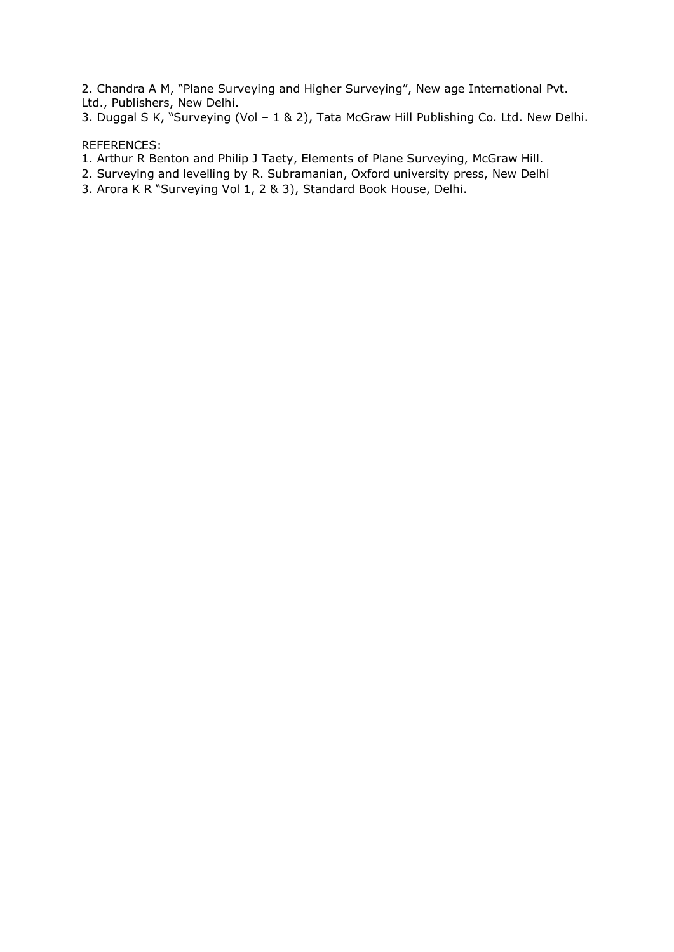2. Chandra A M, "Plane Surveying and Higher Surveying", New age International Pvt. Ltd., Publishers, New Delhi.

3. Duggal S K, "Surveying (Vol – 1 & 2), Tata McGraw Hill Publishing Co. Ltd. New Delhi.

### REFERENCES:

- 1. Arthur R Benton and Philip J Taety, Elements of Plane Surveying, McGraw Hill.
- 2. Surveying and levelling by R. Subramanian, Oxford university press, New Delhi
- 3. Arora K R "Surveying Vol 1, 2 & 3), Standard Book House, Delhi.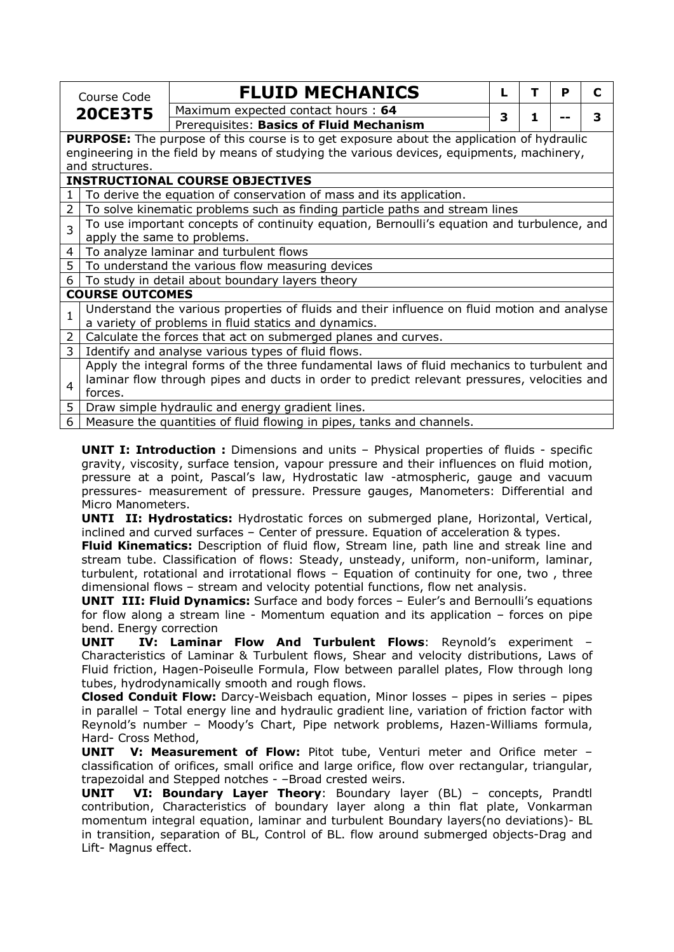|                | Course Code                                                                                 | <b>FLUID MECHANICS</b>                                                                           |   | т | P | С |  |  |
|----------------|---------------------------------------------------------------------------------------------|--------------------------------------------------------------------------------------------------|---|---|---|---|--|--|
| <b>20CE3T5</b> |                                                                                             | Maximum expected contact hours: 64                                                               | 3 |   |   | 3 |  |  |
|                |                                                                                             | Prerequisites: Basics of Fluid Mechanism                                                         |   |   |   |   |  |  |
|                |                                                                                             | <b>PURPOSE:</b> The purpose of this course is to get exposure about the application of hydraulic |   |   |   |   |  |  |
|                |                                                                                             | engineering in the field by means of studying the various devices, equipments, machinery,        |   |   |   |   |  |  |
|                | and structures.                                                                             |                                                                                                  |   |   |   |   |  |  |
|                |                                                                                             | <b>INSTRUCTIONAL COURSE OBJECTIVES</b>                                                           |   |   |   |   |  |  |
| $\mathbf{1}$   |                                                                                             | To derive the equation of conservation of mass and its application.                              |   |   |   |   |  |  |
| $\overline{2}$ |                                                                                             | To solve kinematic problems such as finding particle paths and stream lines                      |   |   |   |   |  |  |
| 3              |                                                                                             | To use important concepts of continuity equation, Bernoulli's equation and turbulence, and       |   |   |   |   |  |  |
|                | apply the same to problems.                                                                 |                                                                                                  |   |   |   |   |  |  |
| $\overline{4}$ |                                                                                             | To analyze laminar and turbulent flows                                                           |   |   |   |   |  |  |
| $\overline{5}$ |                                                                                             | To understand the various flow measuring devices                                                 |   |   |   |   |  |  |
| 6              |                                                                                             | To study in detail about boundary layers theory                                                  |   |   |   |   |  |  |
|                | <b>COURSE OUTCOMES</b>                                                                      |                                                                                                  |   |   |   |   |  |  |
| $\mathbf{1}$   |                                                                                             | Understand the various properties of fluids and their influence on fluid motion and analyse      |   |   |   |   |  |  |
|                |                                                                                             | a variety of problems in fluid statics and dynamics.                                             |   |   |   |   |  |  |
| $\overline{2}$ |                                                                                             | Calculate the forces that act on submerged planes and curves.                                    |   |   |   |   |  |  |
| $\overline{3}$ | Identify and analyse various types of fluid flows.                                          |                                                                                                  |   |   |   |   |  |  |
|                | Apply the integral forms of the three fundamental laws of fluid mechanics to turbulent and  |                                                                                                  |   |   |   |   |  |  |
| $\overline{4}$ | laminar flow through pipes and ducts in order to predict relevant pressures, velocities and |                                                                                                  |   |   |   |   |  |  |
|                | forces.                                                                                     |                                                                                                  |   |   |   |   |  |  |
| 5 <sup>5</sup> |                                                                                             | Draw simple hydraulic and energy gradient lines.                                                 |   |   |   |   |  |  |
| 6              |                                                                                             | Measure the quantities of fluid flowing in pipes, tanks and channels.                            |   |   |   |   |  |  |

**UNIT I: Introduction :** Dimensions and units – Physical properties of fluids - specific gravity, viscosity, surface tension, vapour pressure and their influences on fluid motion, pressure at a point, Pascal's law, Hydrostatic law -atmospheric, gauge and vacuum pressures- measurement of pressure. Pressure gauges, Manometers: Differential and Micro Manometers.

**UNTI II: Hydrostatics:** Hydrostatic forces on submerged plane, Horizontal, Vertical, inclined and curved surfaces – Center of pressure. Equation of acceleration & types.

**Fluid Kinematics:** Description of fluid flow, Stream line, path line and streak line and stream tube. Classification of flows: Steady, unsteady, uniform, non-uniform, laminar, turbulent, rotational and irrotational flows – Equation of continuity for one, two , three dimensional flows – stream and velocity potential functions, flow net analysis.

**UNIT III: Fluid Dynamics:** Surface and body forces – Euler's and Bernoulli's equations for flow along a stream line - Momentum equation and its application – forces on pipe bend. Energy correction

**UNIT IV: Laminar Flow And Turbulent Flows**: Reynold's experiment – Characteristics of Laminar & Turbulent flows, Shear and velocity distributions, Laws of Fluid friction, Hagen-Poiseulle Formula, Flow between parallel plates, Flow through long tubes, hydrodynamically smooth and rough flows.

**Closed Conduit Flow:** Darcy-Weisbach equation, Minor losses – pipes in series – pipes in parallel – Total energy line and hydraulic gradient line, variation of friction factor with Reynold's number – Moody's Chart, Pipe network problems, Hazen-Williams formula, Hard- Cross Method,

**UNIT V: Measurement of Flow:** Pitot tube, Venturi meter and Orifice meter – classification of orifices, small orifice and large orifice, flow over rectangular, triangular, trapezoidal and Stepped notches - –Broad crested weirs.

**UNIT VI: Boundary Layer Theory**: Boundary layer (BL) – concepts, Prandtl contribution, Characteristics of boundary layer along a thin flat plate, Vonkarman momentum integral equation, laminar and turbulent Boundary layers(no deviations)- BL in transition, separation of BL, Control of BL. flow around submerged objects-Drag and Lift- Magnus effect.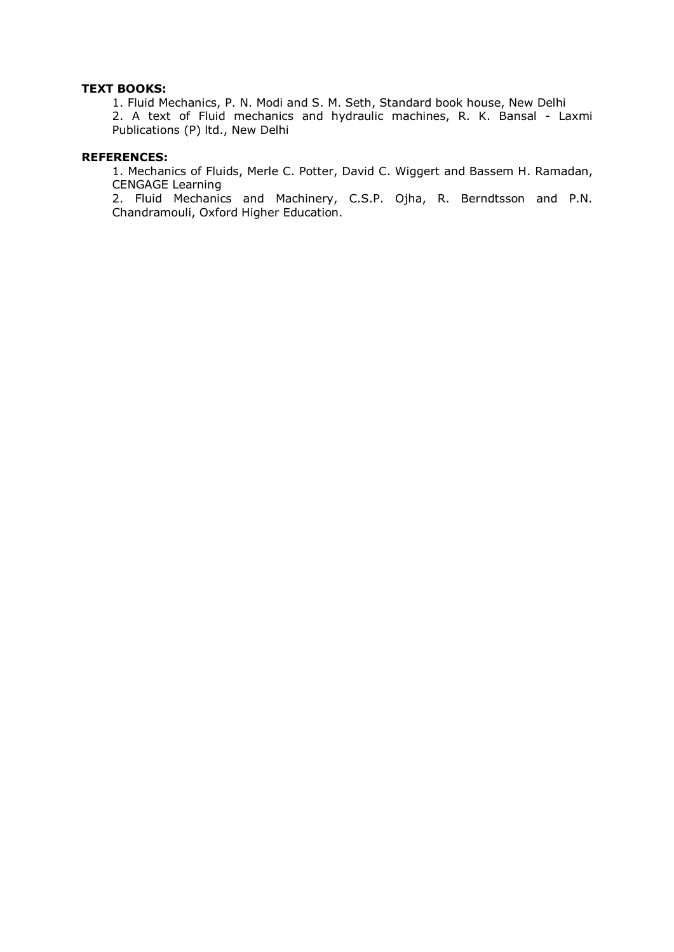### **TEXT BOOKS:**

1. Fluid Mechanics, P. N. Modi and S. M. Seth, Standard book house, New Delhi 2. A text of Fluid mechanics and hydraulic machines, R. K. Bansal - Laxmi Publications (P) ltd., New Delhi

#### **REFERENCES:**

1. Mechanics of Fluids, Merle C. Potter, David C. Wiggert and Bassem H. Ramadan, CENGAGE Learning

2. Fluid Mechanics and Machinery, C.S.P. Ojha, R. Berndtsson and P.N. Chandramouli, Oxford Higher Education.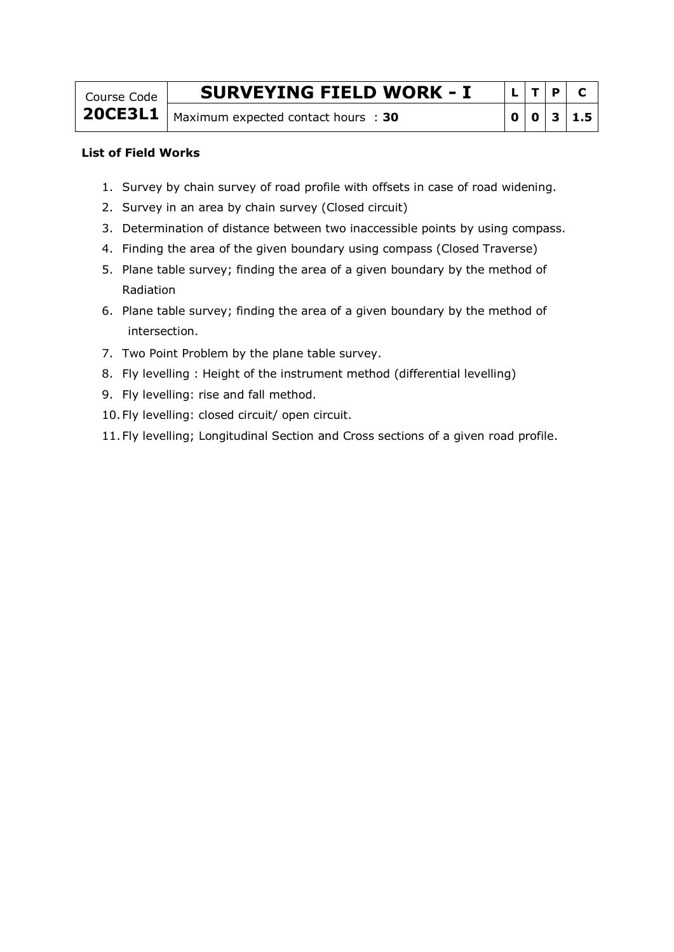| Course Code | <b>SURVEYING FIELD WORK - I</b>               |  | ' D |           |
|-------------|-----------------------------------------------|--|-----|-----------|
|             | 20CE3L1   Maximum expected contact hours : 30 |  |     | 0 0 3 1.5 |

### **List of Field Works**

- 1. Survey by chain survey of road profile with offsets in case of road widening.
- 2. Survey in an area by chain survey (Closed circuit)
- 3. Determination of distance between two inaccessible points by using compass.
- 4. Finding the area of the given boundary using compass (Closed Traverse)
- 5. Plane table survey; finding the area of a given boundary by the method of Radiation
- 6. Plane table survey; finding the area of a given boundary by the method of intersection.
- 7. Two Point Problem by the plane table survey.
- 8. Fly levelling : Height of the instrument method (differential levelling)
- 9. Fly levelling: rise and fall method.
- 10.Fly levelling: closed circuit/ open circuit.
- 11.Fly levelling; Longitudinal Section and Cross sections of a given road profile.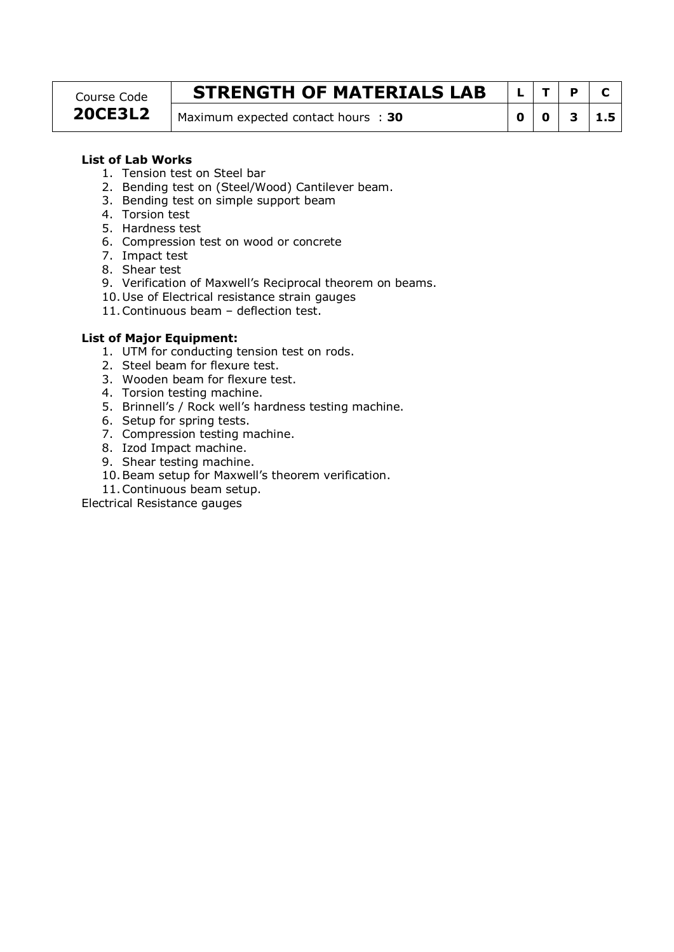#### Course Code **20CE3L2**

## **STRENGTH OF MATERIALS LAB**  $\lfloor L \rfloor$  T  $\rfloor$  P  $\lfloor c \rfloor$

Maximum expected contact hours : **30 0 0 1 3 1.5** 

### **List of Lab Works**

- 1. Tension test on Steel bar
- 2. Bending test on (Steel/Wood) Cantilever beam.
- 3. Bending test on simple support beam
- 4. Torsion test
- 5. Hardness test
- 6. Compression test on wood or concrete
- 7. Impact test
- 8. Shear test
- 9. Verification of Maxwell's Reciprocal theorem on beams.
- 10.Use of Electrical resistance strain gauges
- 11.Continuous beam deflection test.

#### **List of Major Equipment:**

- 1. UTM for conducting tension test on rods.
- 2. Steel beam for flexure test.
- 3. Wooden beam for flexure test.
- 4. Torsion testing machine.
- 5. Brinnell's / Rock well's hardness testing machine.
- 6. Setup for spring tests.
- 7. Compression testing machine.
- 8. Izod Impact machine.
- 9. Shear testing machine.
- 10.Beam setup for Maxwell's theorem verification.
- 11.Continuous beam setup.

Electrical Resistance gauges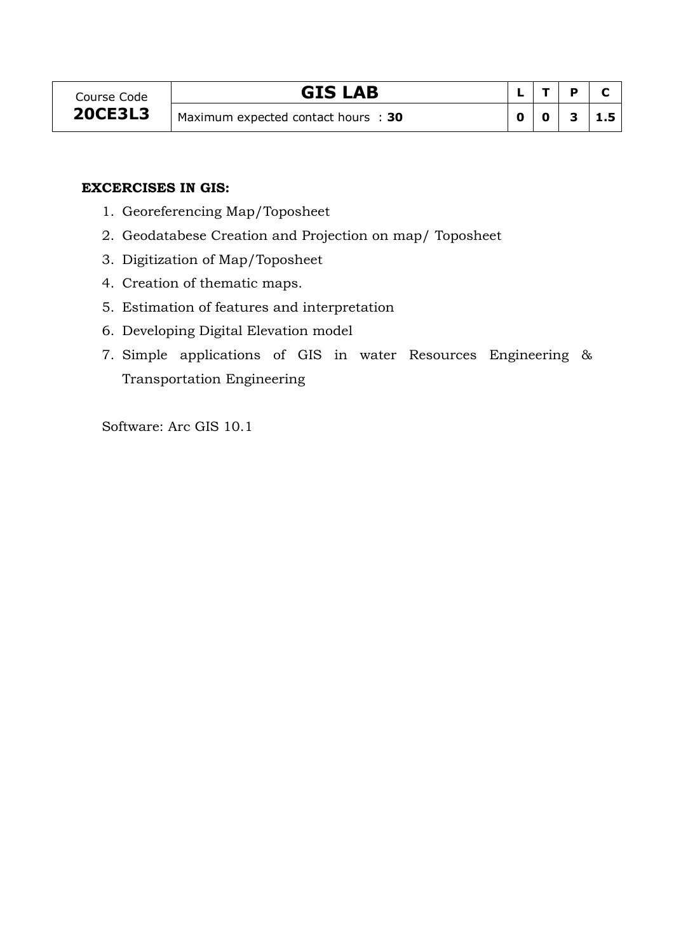## **GIS** LAB

|   | D |     |
|---|---|-----|
| n | э | 1.5 |

### **EXCERCISES IN GIS:**

- 1. Georeferencing Map/Toposheet
- 2. Geodatabese Creation and Projection on map/ Toposheet
- 3. Digitization of Map/Toposheet
- 4. Creation of thematic maps.
- 5. Estimation of features and interpretation
- 6. Developing Digital Elevation model
- 7. Simple applications of GIS in water Resources Engineering & Transportation Engineering

Software: Arc GIS 10.1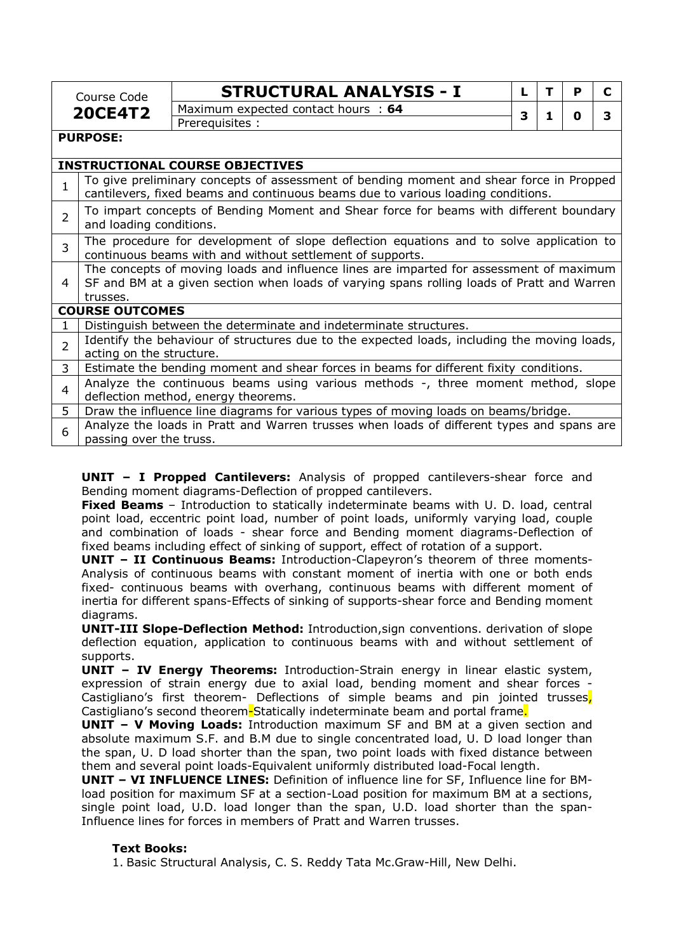|                | Course Code              | <b>STRUCTURAL ANALYSIS - I</b>                                                                                                                                              |   | т | P | C |
|----------------|--------------------------|-----------------------------------------------------------------------------------------------------------------------------------------------------------------------------|---|---|---|---|
| <b>20CE4T2</b> |                          | Maximum expected contact hours : 64                                                                                                                                         |   |   |   | 3 |
|                |                          | Prerequisites :                                                                                                                                                             | 3 | 1 | 0 |   |
|                | <b>PURPOSE:</b>          |                                                                                                                                                                             |   |   |   |   |
|                |                          | <b>INSTRUCTIONAL COURSE OBJECTIVES</b>                                                                                                                                      |   |   |   |   |
| 1              |                          | To give preliminary concepts of assessment of bending moment and shear force in Propped<br>cantilevers, fixed beams and continuous beams due to various loading conditions. |   |   |   |   |
| $\overline{2}$ | and loading conditions.  | To impart concepts of Bending Moment and Shear force for beams with different boundary                                                                                      |   |   |   |   |
| 3              |                          | The procedure for development of slope deflection equations and to solve application to<br>continuous beams with and without settlement of supports.                        |   |   |   |   |
|                |                          | The concepts of moving loads and influence lines are imparted for assessment of maximum                                                                                     |   |   |   |   |
| 4              |                          | SF and BM at a given section when loads of varying spans rolling loads of Pratt and Warren                                                                                  |   |   |   |   |
|                | trusses.                 |                                                                                                                                                                             |   |   |   |   |
|                | <b>COURSE OUTCOMES</b>   |                                                                                                                                                                             |   |   |   |   |
|                |                          | Distinguish between the determinate and indeterminate structures.                                                                                                           |   |   |   |   |
| $\overline{2}$ |                          | Identify the behaviour of structures due to the expected loads, including the moving loads,                                                                                 |   |   |   |   |
|                | acting on the structure. |                                                                                                                                                                             |   |   |   |   |
| 3              |                          | Estimate the bending moment and shear forces in beams for different fixity conditions.                                                                                      |   |   |   |   |
| $\overline{4}$ |                          | Analyze the continuous beams using various methods -, three moment method, slope<br>deflection method, energy theorems.                                                     |   |   |   |   |
| 5              |                          | Draw the influence line diagrams for various types of moving loads on beams/bridge.                                                                                         |   |   |   |   |
| 6              | passing over the truss.  | Analyze the loads in Pratt and Warren trusses when loads of different types and spans are                                                                                   |   |   |   |   |

**UNIT – I Propped Cantilevers:** Analysis of propped cantilevers-shear force and Bending moment diagrams-Deflection of propped cantilevers.

**Fixed Beams** – Introduction to statically indeterminate beams with U. D. load, central point load, eccentric point load, number of point loads, uniformly varying load, couple and combination of loads - shear force and Bending moment diagrams-Deflection of fixed beams including effect of sinking of support, effect of rotation of a support.

**UNIT – II Continuous Beams:** Introduction-Clapeyron's theorem of three moments-Analysis of continuous beams with constant moment of inertia with one or both ends fixed- continuous beams with overhang, continuous beams with different moment of inertia for different spans-Effects of sinking of supports-shear force and Bending moment diagrams.

**UNIT-III Slope-Deflection Method:** Introduction,sign conventions. derivation of slope deflection equation, application to continuous beams with and without settlement of supports.

**UNIT – IV Energy Theorems:** Introduction-Strain energy in linear elastic system, expression of strain energy due to axial load, bending moment and shear forces - Castigliano's first theorem- Deflections of simple beams and pin jointed trusses. Castigliano's second theorem-Statically indeterminate beam and portal frame.

**UNIT – V Moving Loads:** Introduction maximum SF and BM at a given section and absolute maximum S.F. and B.M due to single concentrated load, U. D load longer than the span, U. D load shorter than the span, two point loads with fixed distance between them and several point loads-Equivalent uniformly distributed load-Focal length.

**UNIT – VI INFLUENCE LINES:** Definition of influence line for SF, Influence line for BMload position for maximum SF at a section-Load position for maximum BM at a sections, single point load, U.D. load longer than the span, U.D. load shorter than the span-Influence lines for forces in members of Pratt and Warren trusses.

### **Text Books:**

1. Basic Structural Analysis, C. S. Reddy Tata Mc.Graw-Hill, New Delhi.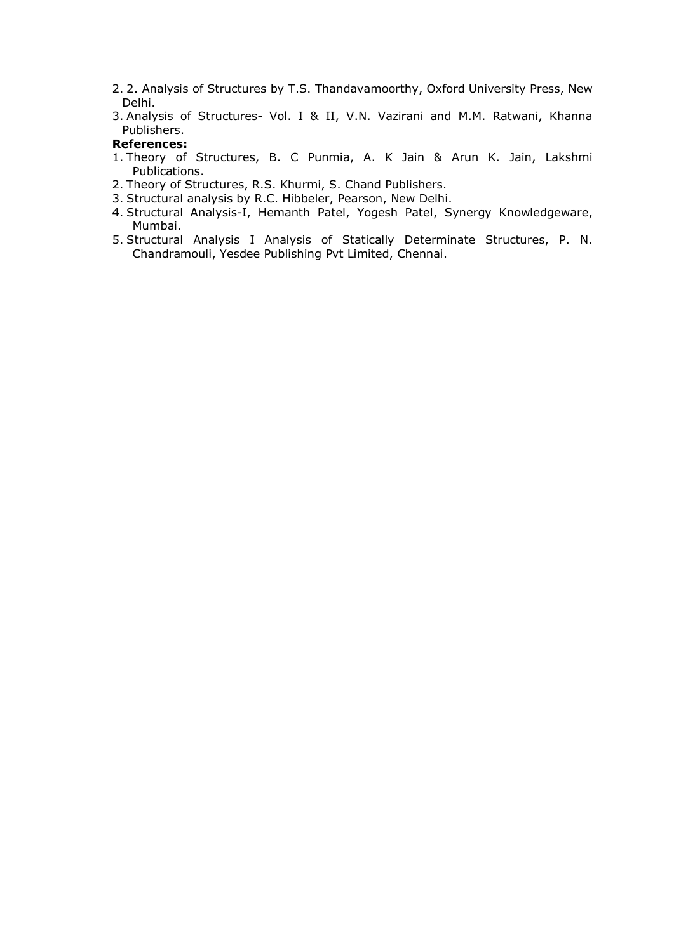- 2. 2. Analysis of Structures by T.S. Thandavamoorthy, Oxford University Press, New Delhi.
- 3. Analysis of Structures- Vol. I & II, V.N. Vazirani and M.M. Ratwani, Khanna Publishers.

### **References:**

- 1. Theory of Structures, B. C Punmia, A. K Jain & Arun K. Jain, Lakshmi Publications.
- 2. Theory of Structures, R.S. Khurmi, S. Chand Publishers.
- 3. Structural analysis by R.C. Hibbeler, Pearson, New Delhi.
- 4. Structural Analysis-I, Hemanth Patel, Yogesh Patel, Synergy Knowledgeware, Mumbai.
- 5. Structural Analysis I Analysis of Statically Determinate Structures, P. N. Chandramouli, Yesdee Publishing Pvt Limited, Chennai.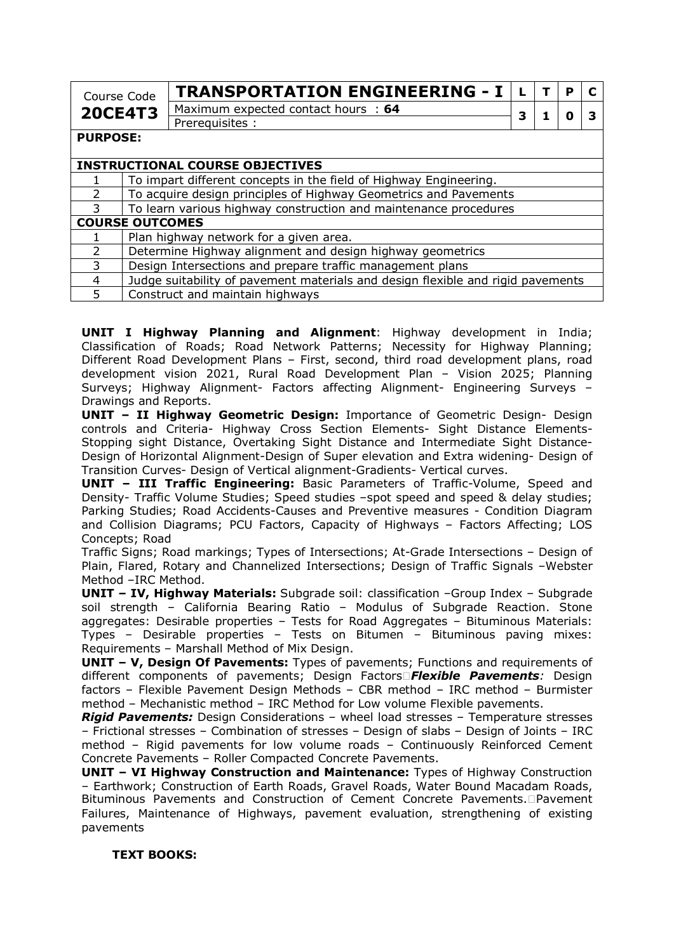| Course Code                                           |                                                                                 | <b>TRANSPORTATION ENGINEERING - I</b>                             |  |  | D |  |
|-------------------------------------------------------|---------------------------------------------------------------------------------|-------------------------------------------------------------------|--|--|---|--|
| Maximum expected contact hours : 64<br><b>20CE4T3</b> |                                                                                 | з                                                                 |  |  |   |  |
|                                                       |                                                                                 | Prerequisites :                                                   |  |  |   |  |
| <b>PURPOSE:</b>                                       |                                                                                 |                                                                   |  |  |   |  |
|                                                       |                                                                                 |                                                                   |  |  |   |  |
|                                                       |                                                                                 | <b>INSTRUCTIONAL COURSE OBJECTIVES</b>                            |  |  |   |  |
|                                                       |                                                                                 | To impart different concepts in the field of Highway Engineering. |  |  |   |  |
| $\mathcal{P}$                                         |                                                                                 | To acquire design principles of Highway Geometrics and Pavements  |  |  |   |  |
| 3                                                     |                                                                                 | To learn various highway construction and maintenance procedures  |  |  |   |  |
| <b>COURSE OUTCOMES</b>                                |                                                                                 |                                                                   |  |  |   |  |
|                                                       |                                                                                 | Plan highway network for a given area.                            |  |  |   |  |
| $\overline{2}$                                        |                                                                                 | Determine Highway alignment and design highway geometrics         |  |  |   |  |
| 3                                                     |                                                                                 | Design Intersections and prepare traffic management plans         |  |  |   |  |
| 4                                                     | Judge suitability of pavement materials and design flexible and rigid pavements |                                                                   |  |  |   |  |

5 Construct and maintain highways

**UNIT I Highway Planning and Alignment**: Highway development in India; Classification of Roads; Road Network Patterns; Necessity for Highway Planning; Different Road Development Plans – First, second, third road development plans, road development vision 2021, Rural Road Development Plan – Vision 2025; Planning Surveys; Highway Alignment- Factors affecting Alignment- Engineering Surveys – Drawings and Reports.

**UNIT – II Highway Geometric Design:** Importance of Geometric Design- Design controls and Criteria- Highway Cross Section Elements- Sight Distance Elements-Stopping sight Distance, Overtaking Sight Distance and Intermediate Sight Distance-Design of Horizontal Alignment-Design of Super elevation and Extra widening- Design of Transition Curves- Design of Vertical alignment-Gradients- Vertical curves.

**UNIT – III Traffic Engineering:** Basic Parameters of Traffic-Volume, Speed and Density- Traffic Volume Studies; Speed studies –spot speed and speed & delay studies; Parking Studies; Road Accidents-Causes and Preventive measures - Condition Diagram and Collision Diagrams; PCU Factors, Capacity of Highways – Factors Affecting; LOS Concepts; Road

Traffic Signs; Road markings; Types of Intersections; At-Grade Intersections – Design of Plain, Flared, Rotary and Channelized Intersections; Design of Traffic Signals –Webster Method –IRC Method.

**UNIT – IV, Highway Materials:** Subgrade soil: classification –Group Index – Subgrade soil strength – California Bearing Ratio – Modulus of Subgrade Reaction. Stone aggregates: Desirable properties – Tests for Road Aggregates – Bituminous Materials: Types – Desirable properties – Tests on Bitumen – Bituminous paving mixes: Requirements – Marshall Method of Mix Design.

**UNIT – V, Design Of Pavements:** Types of pavements; Functions and requirements of different components of pavements; Design Factors*Flexible Pavements:* Design factors – Flexible Pavement Design Methods – CBR method – IRC method – Burmister method – Mechanistic method – IRC Method for Low volume Flexible pavements.

*Rigid Pavements:* Design Considerations – wheel load stresses – Temperature stresses – Frictional stresses – Combination of stresses – Design of slabs – Design of Joints – IRC method – Rigid pavements for low volume roads – Continuously Reinforced Cement Concrete Pavements – Roller Compacted Concrete Pavements.

**UNIT - VI Highway Construction and Maintenance:** Types of Highway Construction – Earthwork; Construction of Earth Roads, Gravel Roads, Water Bound Macadam Roads, Bituminous Pavements and Construction of Cement Concrete Pavements. Pavement Failures, Maintenance of Highways, pavement evaluation, strengthening of existing pavements

### **TEXT BOOKS:**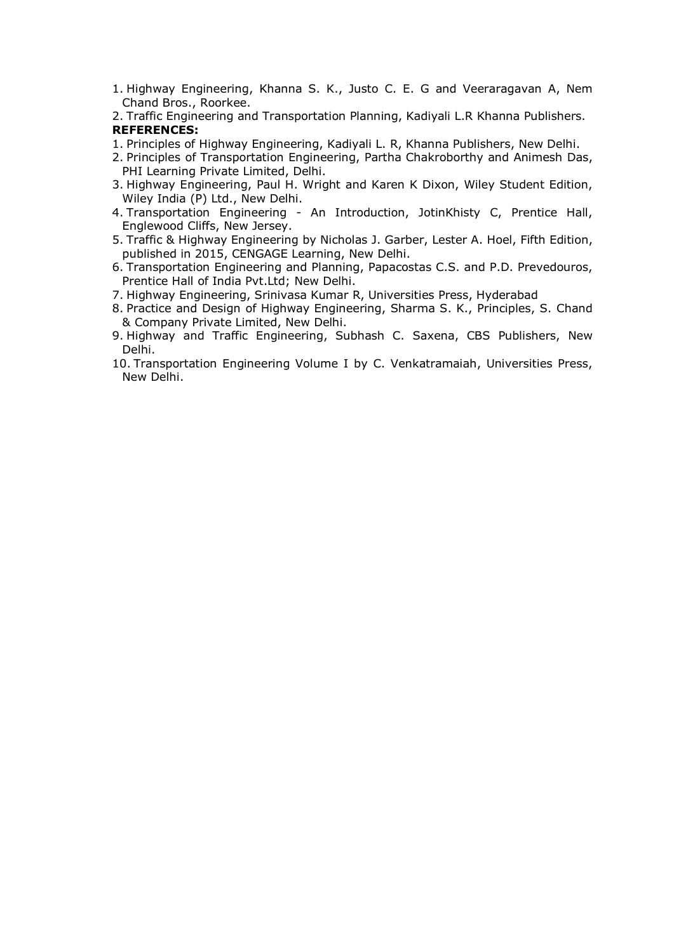- 1. Highway Engineering, Khanna S. K., Justo C. E. G and Veeraragavan A, Nem Chand Bros., Roorkee.
- 2. Traffic Engineering and Transportation Planning, Kadiyali L.R Khanna Publishers. **REFERENCES:**
- 1. Principles of Highway Engineering, Kadiyali L. R, Khanna Publishers, New Delhi.
- 2. Principles of Transportation Engineering, Partha Chakroborthy and Animesh Das, PHI Learning Private Limited, Delhi.
- 3. Highway Engineering, Paul H. Wright and Karen K Dixon, Wiley Student Edition, Wiley India (P) Ltd., New Delhi.
- 4. Transportation Engineering An Introduction, JotinKhisty C, Prentice Hall, Englewood Cliffs, New Jersey.
- 5. Traffic & Highway Engineering by Nicholas J. Garber, Lester A. Hoel, Fifth Edition, published in 2015, CENGAGE Learning, New Delhi.
- 6. Transportation Engineering and Planning, Papacostas C.S. and P.D. Prevedouros, Prentice Hall of India Pvt.Ltd; New Delhi.
- 7. Highway Engineering, Srinivasa Kumar R, Universities Press, Hyderabad
- 8. Practice and Design of Highway Engineering, Sharma S. K., Principles, S. Chand & Company Private Limited, New Delhi.
- 9. Highway and Traffic Engineering, Subhash C. Saxena, CBS Publishers, New Delhi.
- 10. Transportation Engineering Volume I by C. Venkatramaiah, Universities Press, New Delhi.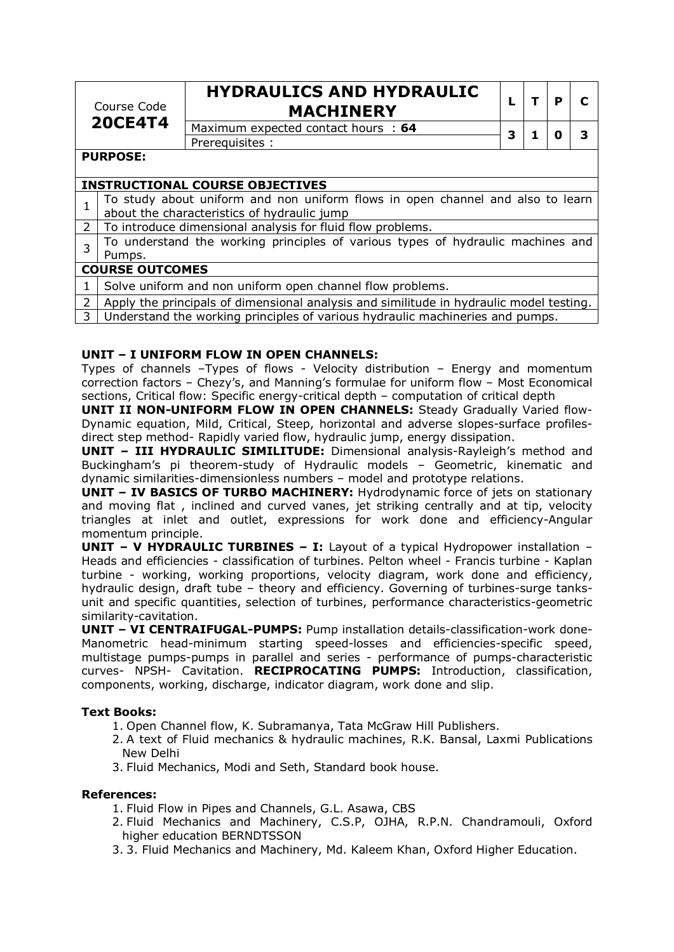|             | Course Code            | <b>HYDRAULICS AND HYDRAULIC</b><br><b>MACHINERY</b>                             |   | P |   |
|-------------|------------------------|---------------------------------------------------------------------------------|---|---|---|
|             | <b>20CE4T4</b>         | Maximum expected contact hours : 64                                             | 3 | 0 | 3 |
|             |                        | Prerequisites :                                                                 |   |   |   |
|             | <b>PURPOSE:</b>        |                                                                                 |   |   |   |
|             |                        | <b>INSTRUCTIONAL COURSE OBJECTIVES</b>                                          |   |   |   |
| 1           |                        | To study about uniform and non uniform flows in open channel and also to learn  |   |   |   |
|             |                        | about the characteristics of hydraulic jump                                     |   |   |   |
| $2^{\circ}$ |                        | To introduce dimensional analysis for fluid flow problems.                      |   |   |   |
| 3           |                        | To understand the working principles of various types of hydraulic machines and |   |   |   |
|             | Pumps.                 |                                                                                 |   |   |   |
|             | <b>COURSE OUTCOMES</b> |                                                                                 |   |   |   |
|             |                        | Solve uniform and non uniform open channel flow problems.                       |   |   |   |

### Apply the principals of dimensional analysis and similitude in hydraulic model testing.

3 Understand the working principles of various hydraulic machineries and pumps.

#### **UNIT – I UNIFORM FLOW IN OPEN CHANNELS:**

Types of channels –Types of flows - Velocity distribution – Energy and momentum correction factors – Chezy's, and Manning's formulae for uniform flow – Most Economical sections, Critical flow: Specific energy-critical depth – computation of critical depth

**UNIT II NON-UNIFORM FLOW IN OPEN CHANNELS:** Steady Gradually Varied flow-Dynamic equation, Mild, Critical, Steep, horizontal and adverse slopes-surface profilesdirect step method- Rapidly varied flow, hydraulic jump, energy dissipation.

**UNIT – III HYDRAULIC SIMILITUDE:** Dimensional analysis-Rayleigh's method and Buckingham's pi theorem-study of Hydraulic models – Geometric, kinematic and dynamic similarities-dimensionless numbers – model and prototype relations.

**UNIT – IV BASICS OF TURBO MACHINERY:** Hydrodynamic force of jets on stationary and moving flat , inclined and curved vanes, jet striking centrally and at tip, velocity triangles at inlet and outlet, expressions for work done and efficiency-Angular momentum principle.

**UNIT – V HYDRAULIC TURBINES – I:** Layout of a typical Hydropower installation – Heads and efficiencies - classification of turbines. Pelton wheel - Francis turbine - Kaplan turbine - working, working proportions, velocity diagram, work done and efficiency, hydraulic design, draft tube – theory and efficiency. Governing of turbines-surge tanksunit and specific quantities, selection of turbines, performance characteristics-geometric similarity-cavitation.

**UNIT – VI CENTRAIFUGAL-PUMPS:** Pump installation details-classification-work done-Manometric head-minimum starting speed-losses and efficiencies-specific speed, multistage pumps-pumps in parallel and series - performance of pumps-characteristic curves- NPSH- Cavitation. **RECIPROCATING PUMPS:** Introduction, classification, components, working, discharge, indicator diagram, work done and slip.

### **Text Books:**

- 1. Open Channel flow, K. Subramanya, Tata McGraw Hill Publishers.
- 2. A text of Fluid mechanics & hydraulic machines, R.K. Bansal, Laxmi Publications New Delhi
- 3. Fluid Mechanics, Modi and Seth, Standard book house.

#### **References:**

- 1. Fluid Flow in Pipes and Channels, G.L. Asawa, CBS
- 2. Fluid Mechanics and Machinery, C.S.P, OJHA, R.P.N. Chandramouli, Oxford higher education BERNDTSSON
- 3. 3. Fluid Mechanics and Machinery, Md. Kaleem Khan, Oxford Higher Education.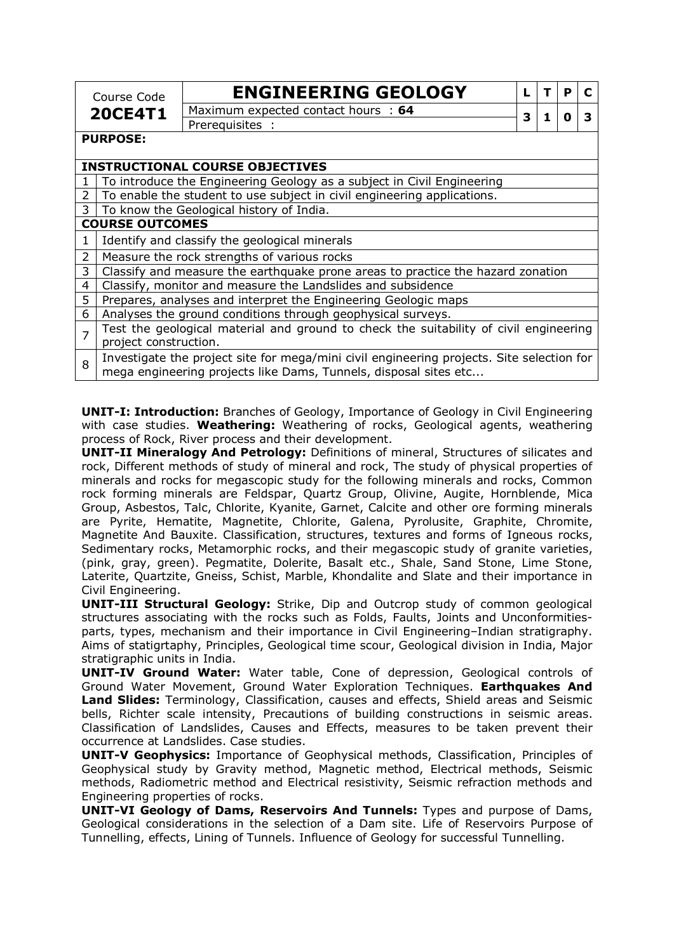| Course Code<br><b>20CE4T1</b>          |                                                                                                                                                               | <b>ENGINEERING GEOLOGY</b>          | L |  | P | C |  |
|----------------------------------------|---------------------------------------------------------------------------------------------------------------------------------------------------------------|-------------------------------------|---|--|---|---|--|
|                                        |                                                                                                                                                               | Maximum expected contact hours : 64 | 3 |  | n |   |  |
|                                        |                                                                                                                                                               | Prerequisites :                     |   |  |   |   |  |
|                                        | <b>PURPOSE:</b>                                                                                                                                               |                                     |   |  |   |   |  |
| <b>INSTRUCTIONAL COURSE OBJECTIVES</b> |                                                                                                                                                               |                                     |   |  |   |   |  |
|                                        | To introduce the Engineering Geology as a subject in Civil Engineering                                                                                        |                                     |   |  |   |   |  |
| 2                                      | To enable the student to use subject in civil engineering applications.                                                                                       |                                     |   |  |   |   |  |
| 3                                      | To know the Geological history of India.                                                                                                                      |                                     |   |  |   |   |  |
|                                        | <b>COURSE OUTCOMES</b>                                                                                                                                        |                                     |   |  |   |   |  |
| 1                                      | Identify and classify the geological minerals                                                                                                                 |                                     |   |  |   |   |  |
| $\overline{2}$                         | Measure the rock strengths of various rocks                                                                                                                   |                                     |   |  |   |   |  |
| 3                                      | Classify and measure the earthquake prone areas to practice the hazard zonation                                                                               |                                     |   |  |   |   |  |
| 4                                      | Classify, monitor and measure the Landslides and subsidence                                                                                                   |                                     |   |  |   |   |  |
| 5                                      | Prepares, analyses and interpret the Engineering Geologic maps                                                                                                |                                     |   |  |   |   |  |
| 6                                      | Analyses the ground conditions through geophysical surveys.                                                                                                   |                                     |   |  |   |   |  |
| $\overline{7}$                         | Test the geological material and ground to check the suitability of civil engineering<br>project construction.                                                |                                     |   |  |   |   |  |
| 8                                      | Investigate the project site for mega/mini civil engineering projects. Site selection for<br>mega engineering projects like Dams, Tunnels, disposal sites etc |                                     |   |  |   |   |  |

**UNIT-I: Introduction:** Branches of Geology, Importance of Geology in Civil Engineering with case studies. **Weathering:** Weathering of rocks, Geological agents, weathering process of Rock, River process and their development.

**UNIT-II Mineralogy And Petrology:** Definitions of mineral, Structures of silicates and rock, Different methods of study of mineral and rock, The study of physical properties of minerals and rocks for megascopic study for the following minerals and rocks, Common rock forming minerals are Feldspar, Quartz Group, Olivine, Augite, Hornblende, Mica Group, Asbestos, Talc, Chlorite, Kyanite, Garnet, Calcite and other ore forming minerals are Pyrite, Hematite, Magnetite, Chlorite, Galena, Pyrolusite, Graphite, Chromite, Magnetite And Bauxite. Classification, structures, textures and forms of Igneous rocks, Sedimentary rocks, Metamorphic rocks, and their megascopic study of granite varieties, (pink, gray, green). Pegmatite, Dolerite, Basalt etc., Shale, Sand Stone, Lime Stone, Laterite, Quartzite, Gneiss, Schist, Marble, Khondalite and Slate and their importance in Civil Engineering.

**UNIT-III Structural Geology:** Strike, Dip and Outcrop study of common geological structures associating with the rocks such as Folds, Faults, Joints and Unconformitiesparts, types, mechanism and their importance in Civil Engineering–Indian stratigraphy. Aims of statigrtaphy, Principles, Geological time scour, Geological division in India, Major stratigraphic units in India.

**UNIT-IV Ground Water:** Water table, Cone of depression, Geological controls of Ground Water Movement, Ground Water Exploration Techniques. **Earthquakes And Land Slides:** Terminology, Classification, causes and effects, Shield areas and Seismic bells, Richter scale intensity, Precautions of building constructions in seismic areas. Classification of Landslides, Causes and Effects, measures to be taken prevent their occurrence at Landslides. Case studies.

**UNIT-V Geophysics:** Importance of Geophysical methods, Classification, Principles of Geophysical study by Gravity method, Magnetic method, Electrical methods, Seismic methods, Radiometric method and Electrical resistivity, Seismic refraction methods and Engineering properties of rocks.

**UNIT-VI Geology of Dams, Reservoirs And Tunnels:** Types and purpose of Dams, Geological considerations in the selection of a Dam site. Life of Reservoirs Purpose of Tunnelling, effects, Lining of Tunnels. Influence of Geology for successful Tunnelling.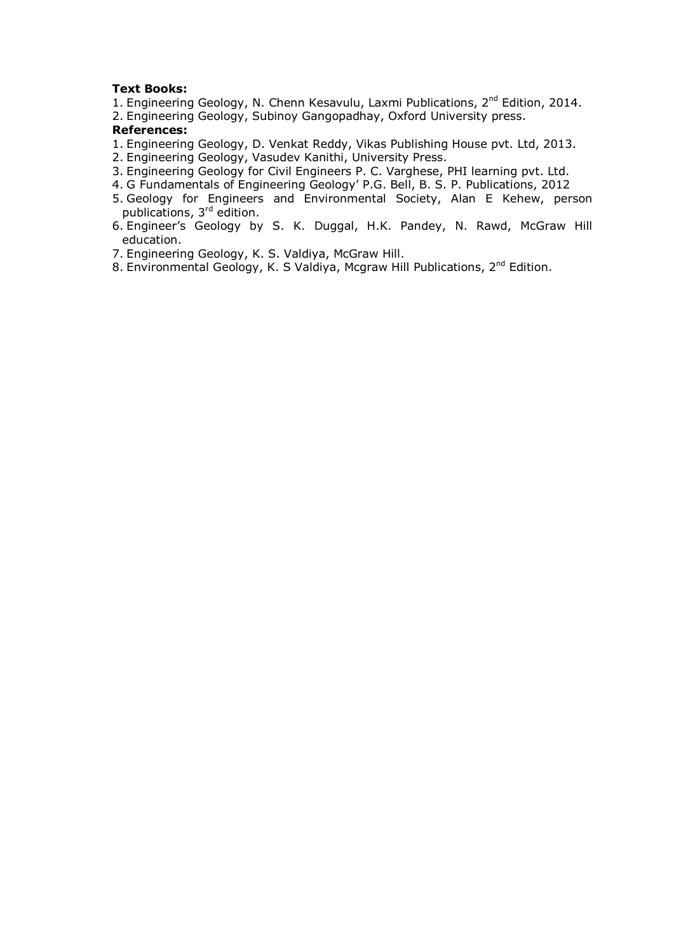### **Text Books:**

- 1. Engineering Geology, N. Chenn Kesavulu, Laxmi Publications, 2<sup>nd</sup> Edition, 2014.
- 2. Engineering Geology, Subinoy Gangopadhay, Oxford University press.

### **References:**

- 1. Engineering Geology, D. Venkat Reddy, Vikas Publishing House pvt. Ltd, 2013.
- 2. Engineering Geology, Vasudev Kanithi, University Press.
- 3. Engineering Geology for Civil Engineers P. C. Varghese, PHI learning pvt. Ltd.
- 4. G Fundamentals of Engineering Geology' P.G. Bell, B. S. P. Publications, 2012
- 5. Geology for Engineers and Environmental Society, Alan E Kehew, person publications, 3<sup>rd</sup> edition.
- 6. Engineer's Geology by S. K. Duggal, H.K. Pandey, N. Rawd, McGraw Hill education.
- 7. Engineering Geology, K. S. Valdiya, McGraw Hill.
- 8. Environmental Geology, K. S Valdiya, Mcgraw Hill Publications, 2<sup>nd</sup> Edition.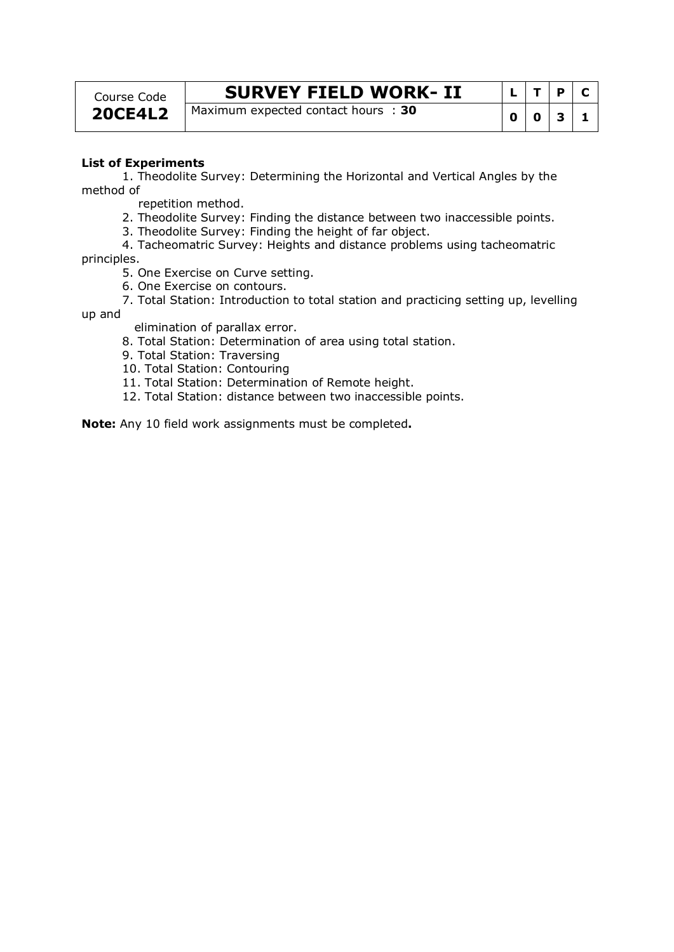Course Code **20CE4L2**

# **SURVEY FIELD WORK-II**  $|L|T|P|C$

Maximum expected contact hours : **<sup>30</sup> <sup>0</sup> <sup>0</sup> <sup>3</sup> <sup>1</sup>**

### **List of Experiments**

 1. Theodolite Survey: Determining the Horizontal and Vertical Angles by the method of

repetition method.

2. Theodolite Survey: Finding the distance between two inaccessible points.

3. Theodolite Survey: Finding the height of far object.

 4. Tacheomatric Survey: Heights and distance problems using tacheomatric principles.

5. One Exercise on Curve setting.

6. One Exercise on contours.

 7. Total Station: Introduction to total station and practicing setting up, levelling up and

elimination of parallax error.

8. Total Station: Determination of area using total station.

9. Total Station: Traversing

10. Total Station: Contouring

11. Total Station: Determination of Remote height.

12. Total Station: distance between two inaccessible points.

**Note:** Any 10 field work assignments must be completed**.**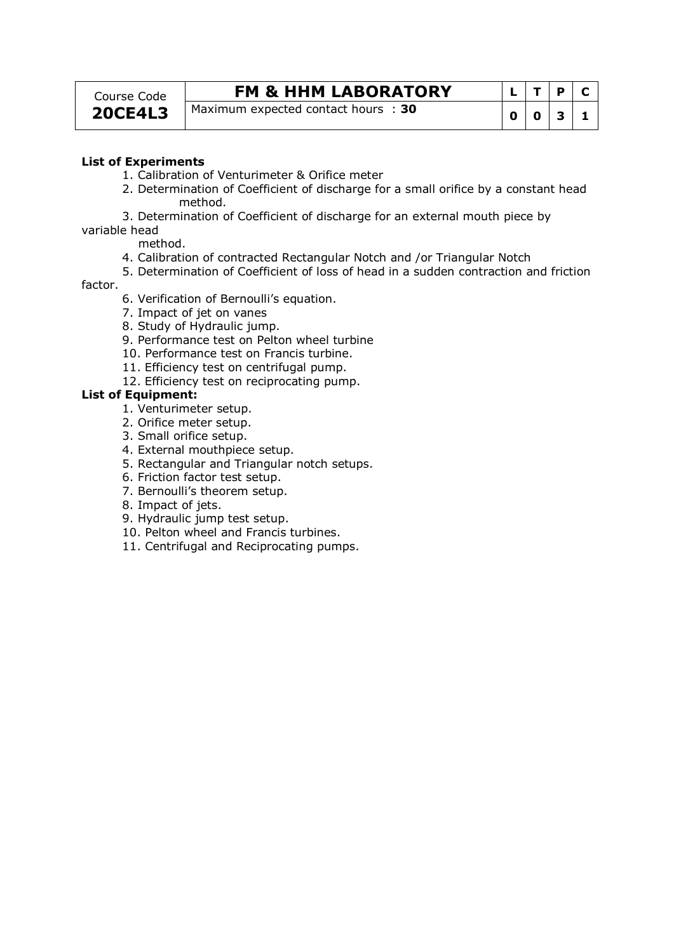| Course Code    |  |
|----------------|--|
| <b>20CE4L3</b> |  |

## **FM & HHM LABORATORY**

**Maximum expected contact hours : 30** 

|   |   | P | C |
|---|---|---|---|
| 0 | 0 | З |   |

### **List of Experiments**

- 1. Calibration of Venturimeter & Orifice meter
- 2. Determination of Coefficient of discharge for a small orifice by a constant head method.
- 3. Determination of Coefficient of discharge for an external mouth piece by

variable head

- method.
- 4. Calibration of contracted Rectangular Notch and /or Triangular Notch
- 5. Determination of Coefficient of loss of head in a sudden contraction and friction

#### factor.

- 6. Verification of Bernoulli's equation.
- 7. Impact of jet on vanes
- 8. Study of Hydraulic jump.
- 9. Performance test on Pelton wheel turbine
- 10. Performance test on Francis turbine.
- 11. Efficiency test on centrifugal pump.
- 12. Efficiency test on reciprocating pump.

### **List of Equipment:**

- 1. Venturimeter setup.
- 2. Orifice meter setup.
- 3. Small orifice setup.
- 4. External mouthpiece setup.
- 5. Rectangular and Triangular notch setups.
- 6. Friction factor test setup.
- 7. Bernoulli's theorem setup.
- 8. Impact of jets.
- 9. Hydraulic jump test setup.
- 10. Pelton wheel and Francis turbines.
- 11. Centrifugal and Reciprocating pumps.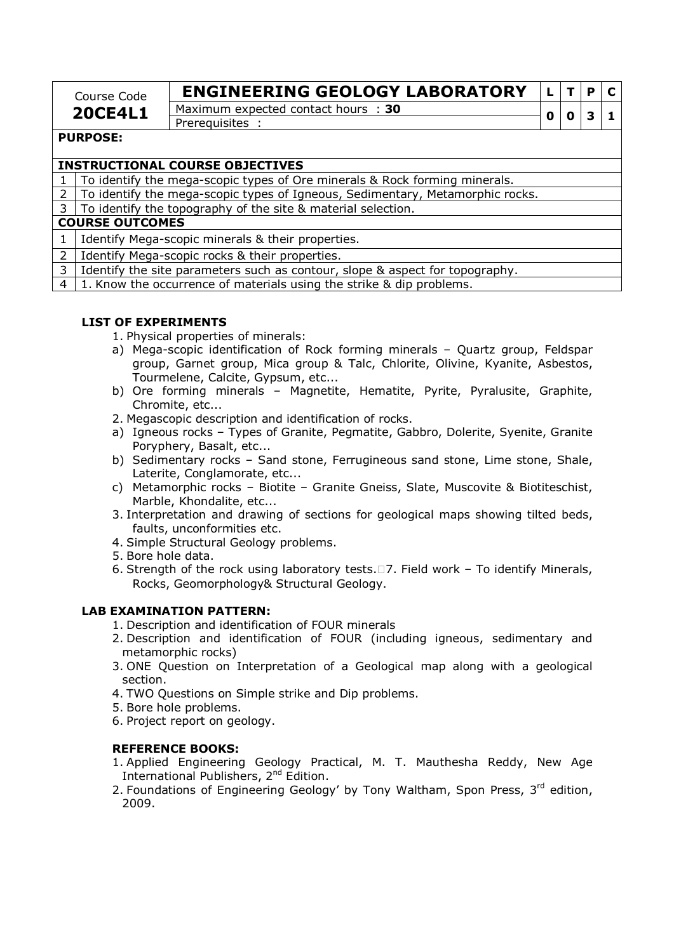| Course Code     | <b>ENGINEERING GEOLOGY LABORATORY</b>                |  |  |
|-----------------|------------------------------------------------------|--|--|
| <b>20CE4L1</b>  | Maximum expected contact hours : 30<br>Prerequisites |  |  |
| <b>PURPOSE:</b> |                                                      |  |  |

### **INSTRUCTIONAL COURSE OBJECTIVES**

1 To identify the mega-scopic types of Ore minerals & Rock forming minerals.

2 To identify the mega-scopic types of Igneous, Sedimentary, Metamorphic rocks.

 $3 \mid$  To identify the topography of the site & material selection.

#### **COURSE OUTCOMES**

1 Identify Mega-scopic minerals & their properties.

- 2 | Identify Mega-scopic rocks & their properties.
- 3 Identify the site parameters such as contour, slope & aspect for topography.
- $4 \mid 1$ . Know the occurrence of materials using the strike & dip problems.

### **LIST OF EXPERIMENTS**

1. Physical properties of minerals:

- a) Mega-scopic identification of Rock forming minerals Quartz group, Feldspar group, Garnet group, Mica group & Talc, Chlorite, Olivine, Kyanite, Asbestos, Tourmelene, Calcite, Gypsum, etc...
- b) Ore forming minerals Magnetite, Hematite, Pyrite, Pyralusite, Graphite, Chromite, etc...
- 2. Megascopic description and identification of rocks.
- a) Igneous rocks Types of Granite, Pegmatite, Gabbro, Dolerite, Syenite, Granite Poryphery, Basalt, etc...
- b) Sedimentary rocks Sand stone, Ferrugineous sand stone, Lime stone, Shale, Laterite, Conglamorate, etc...
- c) Metamorphic rocks Biotite Granite Gneiss, Slate, Muscovite & Biotiteschist, Marble, Khondalite, etc...
- 3. Interpretation and drawing of sections for geological maps showing tilted beds, faults, unconformities etc.
- 4. Simple Structural Geology problems.
- 5. Bore hole data.
- 6. Strength of the rock using laboratory tests. 7. Field work To identify Minerals, Rocks, Geomorphology& Structural Geology.

### **LAB EXAMINATION PATTERN:**

- 1. Description and identification of FOUR minerals
- 2. Description and identification of FOUR (including igneous, sedimentary and metamorphic rocks)
- 3. ONE Question on Interpretation of a Geological map along with a geological section.
- 4. TWO Questions on Simple strike and Dip problems.
- 5. Bore hole problems.
- 6. Project report on geology.

### **REFERENCE BOOKS:**

- 1. Applied Engineering Geology Practical, M. T. Mauthesha Reddy, New Age International Publishers, 2<sup>nd</sup> Edition.
- 2. Foundations of Engineering Geology' by Tony Waltham, Spon Press, 3rd edition, 2009.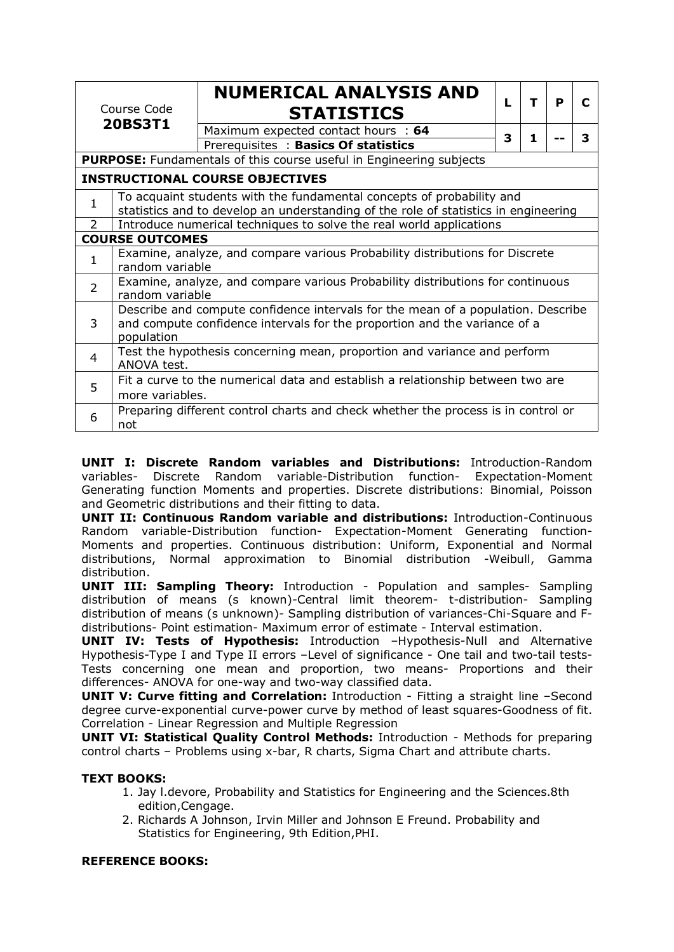| Course Code<br><b>20BS3T1</b>          |                                                                                                                                                                             | <b>NUMERICAL ANALYSIS AND</b><br><b>STATISTICS</b>                         | L | т  | P | C |  |
|----------------------------------------|-----------------------------------------------------------------------------------------------------------------------------------------------------------------------------|----------------------------------------------------------------------------|---|----|---|---|--|
|                                        |                                                                                                                                                                             | Maximum expected contact hours : 64<br>Prerequisites: Basics Of statistics | 3 | 1. |   | 3 |  |
|                                        |                                                                                                                                                                             | <b>PURPOSE:</b> Fundamentals of this course useful in Engineering subjects |   |    |   |   |  |
| <b>INSTRUCTIONAL COURSE OBJECTIVES</b> |                                                                                                                                                                             |                                                                            |   |    |   |   |  |
| 1                                      | To acquaint students with the fundamental concepts of probability and<br>statistics and to develop an understanding of the role of statistics in engineering                |                                                                            |   |    |   |   |  |
| $\mathcal{P}$                          |                                                                                                                                                                             | Introduce numerical techniques to solve the real world applications        |   |    |   |   |  |
|                                        | <b>COURSE OUTCOMES</b>                                                                                                                                                      |                                                                            |   |    |   |   |  |
| 1                                      | Examine, analyze, and compare various Probability distributions for Discrete<br>random variable                                                                             |                                                                            |   |    |   |   |  |
| $\overline{2}$                         | Examine, analyze, and compare various Probability distributions for continuous<br>random variable                                                                           |                                                                            |   |    |   |   |  |
| 3                                      | Describe and compute confidence intervals for the mean of a population. Describe<br>and compute confidence intervals for the proportion and the variance of a<br>population |                                                                            |   |    |   |   |  |
| 4                                      | Test the hypothesis concerning mean, proportion and variance and perform<br>ANOVA test.                                                                                     |                                                                            |   |    |   |   |  |
| 5                                      | Fit a curve to the numerical data and establish a relationship between two are<br>more variables.                                                                           |                                                                            |   |    |   |   |  |
| 6                                      | Preparing different control charts and check whether the process is in control or<br>not                                                                                    |                                                                            |   |    |   |   |  |

**UNIT I: Discrete Random variables and Distributions:** Introduction-Random variables- Discrete Random variable-Distribution function- Expectation-Moment Generating function Moments and properties. Discrete distributions: Binomial, Poisson and Geometric distributions and their fitting to data.

**UNIT II: Continuous Random variable and distributions:** Introduction-Continuous Random variable-Distribution function- Expectation-Moment Generating function-Moments and properties. Continuous distribution: Uniform, Exponential and Normal distributions, Normal approximation to Binomial distribution -Weibull, Gamma distribution.

**UNIT III: Sampling Theory:** Introduction - Population and samples- Sampling distribution of means (s known)-Central limit theorem- t-distribution- Sampling distribution of means (s unknown)- Sampling distribution of variances-Chi-Square and Fdistributions- Point estimation- Maximum error of estimate - Interval estimation.

**UNIT IV: Tests of Hypothesis:** Introduction –Hypothesis-Null and Alternative Hypothesis-Type I and Type II errors –Level of significance - One tail and two-tail tests-Tests concerning one mean and proportion, two means- Proportions and their differences- ANOVA for one-way and two-way classified data.

**UNIT V: Curve fitting and Correlation:** Introduction - Fitting a straight line –Second degree curve-exponential curve-power curve by method of least squares-Goodness of fit. Correlation - Linear Regression and Multiple Regression

**UNIT VI: Statistical Quality Control Methods:** Introduction - Methods for preparing control charts – Problems using x-bar, R charts, Sigma Chart and attribute charts.

### **TEXT BOOKS:**

- 1. Jay l.devore, Probability and Statistics for Engineering and the Sciences.8th edition,Cengage.
- 2. Richards A Johnson, Irvin Miller and Johnson E Freund. Probability and Statistics for Engineering, 9th Edition,PHI.

### **REFERENCE BOOKS:**